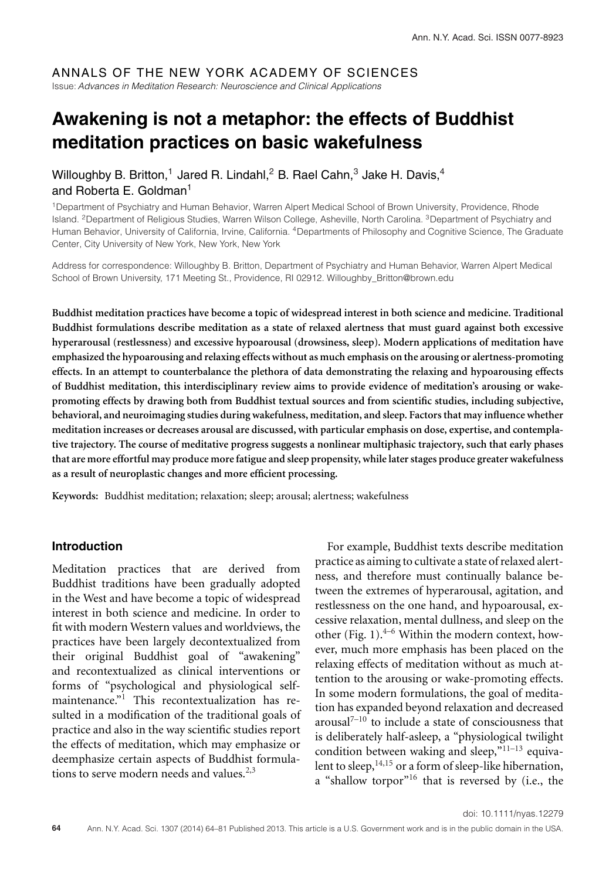# ANNALS OF THE NEW YORK ACADEMY OF SCIENCES

Issue: Advances in Meditation Research: Neuroscience and Clinical Applications

# **Awakening is not a metaphor: the effects of Buddhist meditation practices on basic wakefulness**

# Willoughby B. Britton,<sup>1</sup> Jared R. Lindahl,<sup>2</sup> B. Rael Cahn,<sup>3</sup> Jake H. Davis,<sup>4</sup> and Roberta E. Goldman $1$

1Department of Psychiatry and Human Behavior, Warren Alpert Medical School of Brown University, Providence, Rhode Island. 2Department of Religious Studies, Warren Wilson College, Asheville, North Carolina. 3Department of Psychiatry and Human Behavior, University of California, Irvine, California. 4Departments of Philosophy and Cognitive Science, The Graduate Center, City University of New York, New York, New York

Address for correspondence: Willoughby B. Britton, Department of Psychiatry and Human Behavior, Warren Alpert Medical School of Brown University, 171 Meeting St., Providence, RI 02912. [Willoughby\\_Britton@brown.edu](mailto:Willoughby_Britton@brown.edu)

**Buddhist meditation practices have become a topic of widespread interest in both science and medicine. Traditional Buddhist formulations describe meditation as a state of relaxed alertness that must guard against both excessive hyperarousal (restlessness) and excessive hypoarousal (drowsiness, sleep). Modern applications of meditation have emphasized the hypoarousing and relaxing effects without as much emphasis on the arousing or alertness-promoting effects. In an attempt to counterbalance the plethora of data demonstrating the relaxing and hypoarousing effects of Buddhist meditation, this interdisciplinary review aims to provide evidence of meditation's arousing or wakepromoting effects by drawing both from Buddhist textual sources and from scientific studies, including subjective, behavioral, and neuroimaging studies during wakefulness, meditation, and sleep. Factors that may influence whether meditation increases or decreases arousal are discussed, with particular emphasis on dose, expertise, and contemplative trajectory. The course of meditative progress suggests a nonlinear multiphasic trajectory, such that early phases that are more effortful may produce more fatigue and sleep propensity, while later stages produce greater wakefulness as a result of neuroplastic changes and more efficient processing.**

**Keywords:** Buddhist meditation; relaxation; sleep; arousal; alertness; wakefulness

# **Introduction**

Meditation practices that are derived from Buddhist traditions have been gradually adopted in the West and have become a topic of widespread interest in both science and medicine. In order to fit with modern Western values and worldviews, the practices have been largely decontextualized from their original Buddhist goal of "awakening" and recontextualized as clinical interventions or forms of "psychological and physiological selfmaintenance." $1$  This recontextualization has resulted in a modification of the traditional goals of practice and also in the way scientific studies report the effects of meditation, which may emphasize or deemphasize certain aspects of Buddhist formulations to serve modern needs and values.<sup>2,3</sup>

For example, Buddhist texts describe meditation practice as aiming to cultivate a state of relaxed alertness, and therefore must continually balance between the extremes of hyperarousal, agitation, and restlessness on the one hand, and hypoarousal, excessive relaxation, mental dullness, and sleep on the other (Fig. 1). $4-6$  Within the modern context, however, much more emphasis has been placed on the relaxing effects of meditation without as much attention to the arousing or wake-promoting effects. In some modern formulations, the goal of meditation has expanded beyond relaxation and decreased arousal $7-10$  to include a state of consciousness that is deliberately half-asleep, a "physiological twilight condition between waking and sleep,"<sup>11-13</sup> equivalent to sleep,  $14,15$  or a form of sleep-like hibernation, a "shallow torpor"<sup>16</sup> that is reversed by (i.e., the

doi: 10.1111/nyas.12279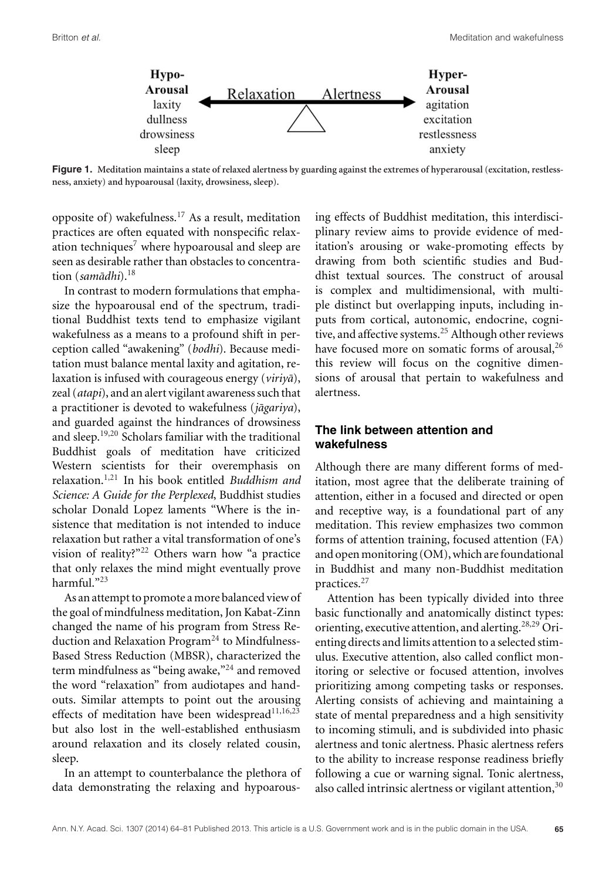

**Figure 1. Meditation maintains a state of relaxed alertness by guarding against the extremes of hyperarousal (excitation, restlessness, anxiety) and hypoarousal (laxity, drowsiness, sleep).**

opposite of) wakefulness.<sup>17</sup> As a result, meditation practices are often equated with nonspecific relaxation techniques<sup>7</sup> where hypoarousal and sleep are seen as desirable rather than obstacles to concentration (*samādhi*).<sup>18</sup>

In contrast to modern formulations that emphasize the hypoarousal end of the spectrum, traditional Buddhist texts tend to emphasize vigilant wakefulness as a means to a profound shift in perception called "awakening" (*bodhi*). Because meditation must balance mental laxity and agitation, relaxation is infused with courageous energy (*viriya*), zeal (*atapi*), and an alert vigilant awareness such that a practitioner is devoted to wakefulness (*jāgariya*), and guarded against the hindrances of drowsiness and sleep.19,20 Scholars familiar with the traditional Buddhist goals of meditation have criticized Western scientists for their overemphasis on relaxation.1,21 In his book entitled *Buddhism and Science: A Guide for the Perplexed*, Buddhist studies scholar Donald Lopez laments "Where is the insistence that meditation is not intended to induce relaxation but rather a vital transformation of one's vision of reality?"<sup>22</sup> Others warn how "a practice that only relaxes the mind might eventually prove harmful."23

As an attempt to promote a more balanced view of the goal of mindfulness meditation, Jon Kabat-Zinn changed the name of his program from Stress Reduction and Relaxation Program<sup>24</sup> to Mindfulness-Based Stress Reduction (MBSR), characterized the term mindfulness as "being awake,"<sup>24</sup> and removed the word "relaxation" from audiotapes and handouts. Similar attempts to point out the arousing effects of meditation have been widespread $11,16,23$ but also lost in the well-established enthusiasm around relaxation and its closely related cousin, sleep.

In an attempt to counterbalance the plethora of data demonstrating the relaxing and hypoarous-

ing effects of Buddhist meditation, this interdisciplinary review aims to provide evidence of meditation's arousing or wake-promoting effects by drawing from both scientific studies and Buddhist textual sources. The construct of arousal is complex and multidimensional, with multiple distinct but overlapping inputs, including inputs from cortical, autonomic, endocrine, cognitive, and affective systems.<sup>25</sup> Although other reviews have focused more on somatic forms of arousal,<sup>26</sup> this review will focus on the cognitive dimensions of arousal that pertain to wakefulness and alertness.

# **The link between attention and wakefulness**

Although there are many different forms of meditation, most agree that the deliberate training of attention, either in a focused and directed or open and receptive way, is a foundational part of any meditation. This review emphasizes two common forms of attention training, focused attention (FA) and open monitoring  $(OM)$ , which are foundational in Buddhist and many non-Buddhist meditation practices.<sup>27</sup>

Attention has been typically divided into three basic functionally and anatomically distinct types: orienting, executive attention, and alerting.28,29 Orienting directs and limits attention to a selected stimulus. Executive attention, also called conflict monitoring or selective or focused attention, involves prioritizing among competing tasks or responses. Alerting consists of achieving and maintaining a state of mental preparedness and a high sensitivity to incoming stimuli, and is subdivided into phasic alertness and tonic alertness. Phasic alertness refers to the ability to increase response readiness briefly following a cue or warning signal. Tonic alertness, also called intrinsic alertness or vigilant attention,<sup>30</sup>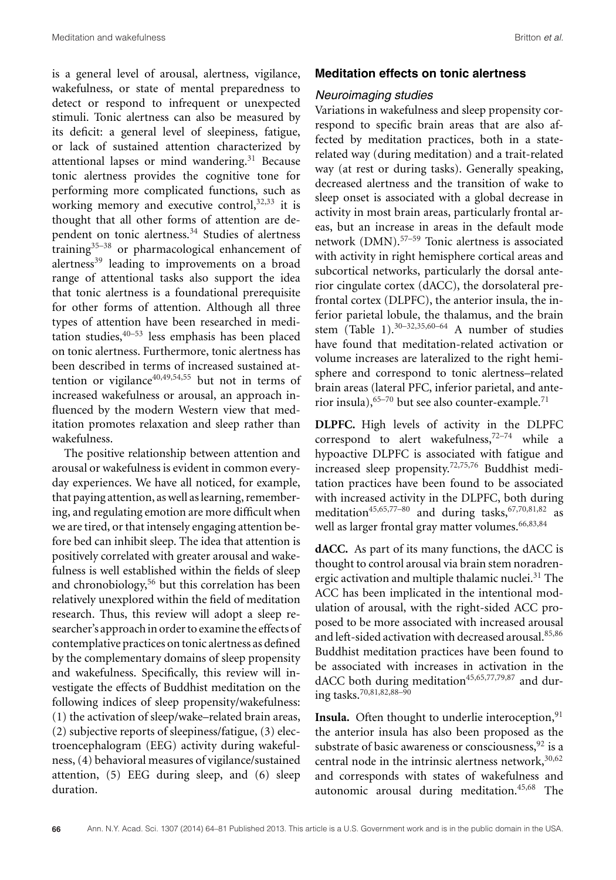is a general level of arousal, alertness, vigilance, wakefulness, or state of mental preparedness to detect or respond to infrequent or unexpected stimuli. Tonic alertness can also be measured by its deficit: a general level of sleepiness, fatigue, or lack of sustained attention characterized by attentional lapses or mind wandering. $31$  Because tonic alertness provides the cognitive tone for performing more complicated functions, such as working memory and executive control,  $32,33$  it is thought that all other forms of attention are dependent on tonic alertness.<sup>34</sup> Studies of alertness training $35-38$  or pharmacological enhancement of alertness<sup>39</sup> leading to improvements on a broad range of attentional tasks also support the idea that tonic alertness is a foundational prerequisite for other forms of attention. Although all three types of attention have been researched in meditation studies,  $40-53$  less emphasis has been placed on tonic alertness. Furthermore, tonic alertness has been described in terms of increased sustained attention or vigilance<sup>40,49,54,55</sup> but not in terms of increased wakefulness or arousal, an approach influenced by the modern Western view that meditation promotes relaxation and sleep rather than wakefulness.

The positive relationship between attention and arousal or wakefulness is evident in common everyday experiences. We have all noticed, for example, that paying attention, as well as learning, remembering, and regulating emotion are more difficult when we are tired, or that intensely engaging attention before bed can inhibit sleep. The idea that attention is positively correlated with greater arousal and wakefulness is well established within the fields of sleep and chronobiology,<sup>56</sup> but this correlation has been relatively unexplored within the field of meditation research. Thus, this review will adopt a sleep researcher's approachin order to examine the effects of contemplative practices on tonic alertness as defined by the complementary domains of sleep propensity and wakefulness. Specifically, this review will investigate the effects of Buddhist meditation on the following indices of sleep propensity/wakefulness: (1) the activation of sleep/wake–related brain areas, (2) subjective reports of sleepiness/fatigue, (3) electroencephalogram (EEG) activity during wakefulness, (4) behavioral measures of vigilance/sustained attention, (5) EEG during sleep, and (6) sleep duration.

#### **Meditation effects on tonic alertness**

#### Neuroimaging studies

Variations in wakefulness and sleep propensity correspond to specific brain areas that are also affected by meditation practices, both in a staterelated way (during meditation) and a trait-related way (at rest or during tasks). Generally speaking, decreased alertness and the transition of wake to sleep onset is associated with a global decrease in activity in most brain areas, particularly frontal areas, but an increase in areas in the default mode network (DMN).57–59 Tonic alertness is associated with activity in right hemisphere cortical areas and subcortical networks, particularly the dorsal anterior cingulate cortex (dACC), the dorsolateral prefrontal cortex (DLPFC), the anterior insula, the inferior parietal lobule, the thalamus, and the brain stem (Table 1).30–32,35,60–64 A number of studies have found that meditation-related activation or volume increases are lateralized to the right hemisphere and correspond to tonic alertness–related brain areas (lateral PFC, inferior parietal, and anterior insula),  $65-70$  but see also counter-example.<sup>71</sup>

**DLPFC.** High levels of activity in the DLPFC correspond to alert wakefulness, $72-74$  while a hypoactive DLPFC is associated with fatigue and increased sleep propensity.72,75,76 Buddhist meditation practices have been found to be associated with increased activity in the DLPFC, both during meditation<sup>45,65,77–80</sup> and during tasks,  $67,70,81,82$  as well as larger frontal gray matter volumes.<sup>66,83,84</sup>

**dACC.** As part of its many functions, the dACC is thought to control arousal via brain stem noradrenergic activation and multiple thalamic nuclei.<sup>31</sup> The ACC has been implicated in the intentional modulation of arousal, with the right-sided ACC proposed to be more associated with increased arousal and left-sided activation with decreased arousal.<sup>85,86</sup> Buddhist meditation practices have been found to be associated with increases in activation in the dACC both during meditation $45,65,77,79,87$  and during tasks.<sup>70,81,82,88–90</sup>

**Insula.** Often thought to underlie interoception, $91$ the anterior insula has also been proposed as the substrate of basic awareness or consciousness,  $92$  is a central node in the intrinsic alertness network,  $30,62$ and corresponds with states of wakefulness and autonomic arousal during meditation.45,68 The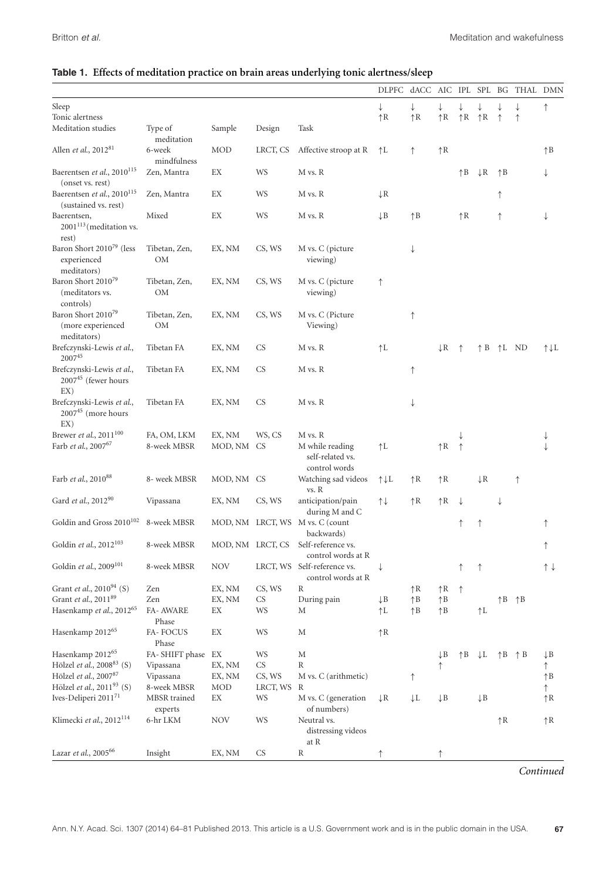|                                                                    |                            |                      |           |                                                                 | DLPFC dACC AIC IPL SPL BG THAL DMN |                |                |              |                           |              |                           |              |
|--------------------------------------------------------------------|----------------------------|----------------------|-----------|-----------------------------------------------------------------|------------------------------------|----------------|----------------|--------------|---------------------------|--------------|---------------------------|--------------|
| Sleep                                                              |                            |                      |           |                                                                 | $\downarrow$                       | ↓              | ↓              |              |                           |              | ↓                         | ↑            |
| Tonic alertness                                                    |                            |                      |           |                                                                 | $\uparrow$ R                       | $\uparrow$ R   | $\uparrow$ R   |              | $\uparrow$ R $\uparrow$ R | ↑            | ↑                         |              |
| Meditation studies                                                 | Type of<br>meditation      | Sample               | Design    | Task                                                            |                                    |                |                |              |                           |              |                           |              |
| Allen et al., 201281                                               | 6-week<br>mindfulness      | MOD                  | LRCT, CS  | Affective stroop at R                                           | $\uparrow$ L                       | ↑              | $\uparrow$ R   |              |                           |              |                           | $\uparrow$ B |
| Baerentsen et al., 2010 <sup>115</sup><br>(onset vs. rest)         | Zen, Mantra                | EX                   | WS        | M vs. R                                                         |                                    |                |                | $\uparrow$ B | $\downarrow$ R            | $\uparrow$ B |                           | ↓            |
| Baerentsen et al., 2010 <sup>115</sup><br>(sustained vs. rest)     | Zen, Mantra                | EX                   | WS        | M vs. R                                                         | $\downarrow$ R                     |                |                |              |                           | ↑            |                           |              |
| Baerentsen,<br>$2001^{113}$ (meditation vs.<br>rest)               | Mixed                      | EX                   | WS        | M vs. R                                                         | $\downarrow$ B                     | $\uparrow$ B   |                | $\uparrow$ R |                           | ↑            |                           | ↓            |
| Baron Short 2010 <sup>79</sup> (less<br>experienced<br>meditators) | Tibetan, Zen,<br>OM        | EX, NM               | CS, WS    | M vs. C (picture<br>viewing)                                    |                                    | ↓              |                |              |                           |              |                           |              |
| Baron Short 2010 <sup>79</sup><br>(meditators vs.<br>controls)     | Tibetan, Zen,<br>OM        | EX, NM               | CS, WS    | M vs. C (picture<br>viewing)                                    | ↑                                  |                |                |              |                           |              |                           |              |
| Baron Short 201079<br>(more experienced<br>meditators)             | Tibetan, Zen,<br><b>OM</b> | EX, NM               | CS, WS    | M vs. C (Picture<br>Viewing)                                    |                                    | ↑              |                |              |                           |              |                           |              |
| Brefczynski-Lewis et al.,<br>200745                                | Tibetan FA                 | EX, NM               | CS        | M vs. R                                                         | $\uparrow$ L                       |                | $\downarrow$ R | ↑            | $\uparrow$ B              | ↑L ND        |                           | ↑↓L          |
| Brefczynski-Lewis et al.,<br>$200745$ (fewer hours<br>EX)          | Tibetan FA                 | EX, NM               | <b>CS</b> | M vs. R                                                         |                                    | ↑              |                |              |                           |              |                           |              |
| Brefczynski-Lewis et al.,<br>$200745$ (more hours<br>EX)           | Tibetan FA                 | EX, NM               | <b>CS</b> | M vs. R                                                         |                                    | ↓              |                |              |                           |              |                           |              |
| Brewer <i>et al.</i> , $2011^{100}$<br>Farb et al., 200767         | FA, OM, LKM<br>8-week MBSR | EX, NM<br>MOD, NM CS | WS, CS    | M vs. R<br>M while reading<br>self-related vs.<br>control words | $\uparrow$ L                       |                | $\uparrow$ R   | $\uparrow$   |                           |              |                           |              |
| Farb et al., 2010 <sup>88</sup>                                    | 8- week MBSR               | MOD, NM CS           |           | Watching sad videos<br>vs. R                                    | ↑↓L                                | $\uparrow$ R   | $\uparrow$ R   |              | $\downarrow$ R            |              | $\uparrow$                |              |
| Gard et al., 201290                                                | Vipassana                  | EX, NM               | CS, WS    | anticipation/pain<br>during M and C                             | $\uparrow \downarrow$              | $\uparrow$ R   | $\uparrow$ R   | $\downarrow$ |                           | ↓            |                           |              |
| Goldin and Gross 2010 <sup>102</sup>                               | 8-week MBSR                |                      |           | MOD, NM LRCT, WS M vs. C (count<br>backwards)                   |                                    |                |                | ↑            | ↑                         |              |                           | ↑            |
| Goldin et al., 2012 <sup>103</sup>                                 | 8-week MBSR                | MOD, NM LRCT, CS     |           | Self-reference vs.<br>control words at R                        |                                    |                |                |              |                           |              |                           | ↑            |
| Goldin et al., 2009 <sup>101</sup>                                 | 8-week MBSR                | <b>NOV</b>           |           | LRCT, WS Self-reference vs.<br>control words at R               | ↓                                  |                |                | ↑            | ↑                         |              |                           | ↑↓           |
| Grant et al., 2010 <sup>94</sup> (S)                               | Zen                        | EX, NM               | CS, WS    | R                                                               |                                    | $\uparrow$ R   | $\uparrow$ R   | $\uparrow$   |                           |              |                           |              |
| Grant et al., 2011 <sup>89</sup>                                   | Zen                        | EX, NM               | CS        | During pain                                                     | $\downarrow$ B                     | $\uparrow$ B   | $\uparrow$ B   |              |                           |              | $\uparrow$ B $\uparrow$ B |              |
| Hasenkamp et al., 2012 <sup>65</sup>                               | <b>FA- AWARE</b><br>Phase  | EΧ                   | WS        | М                                                               | ↑L                                 | $\uparrow$ B   | $\uparrow$ B   |              | ↑L                        |              |                           |              |
| Hasenkamp $2012^{65}\,$                                            | FA-FOCUS<br>Phase          | EX                   | WS        | М                                                               | $\uparrow$ R                       |                |                |              |                           |              |                           |              |
| Hasenkamp $2012^{65}\,$                                            | FA-SHIFT phase EX          |                      | WS        | М                                                               |                                    |                | $\downarrow$ B | $\uparrow$ B | $\downarrow$ L            |              | $\uparrow$ B $\uparrow$ B | ↓B           |
| Hölzel et al., 2008 <sup>83</sup> (S)                              | Vipassana                  | EX, NM               | CS        | R                                                               |                                    |                | ↑              |              |                           |              |                           | ↑            |
| Hölzel et al., 200787                                              | Vipassana                  | EX, NM               | CS, WS    | M vs. C (arithmetic)                                            |                                    | ↑              |                |              |                           |              |                           | $\uparrow$ B |
| Hölzel et al., 201193 (S)                                          | 8-week MBSR                | MOD                  | LRCT, WS  | R                                                               |                                    |                |                |              |                           |              |                           | ↑            |
| Ives-Deliperi 201171                                               | MBSR trained<br>experts    | EX                   | WS        | M vs. C (generation<br>of numbers)                              | $\downarrow$ R                     | $\downarrow$ L | $\downarrow$ B |              | $\downarrow$ B            |              |                           | ↑R           |
| Klimecki et al., 2012 <sup>114</sup>                               | 6-hr LKM                   | NOV                  | WS        | Neutral vs.<br>distressing videos<br>at R                       |                                    |                |                |              |                           | $\uparrow$ R |                           | ↑R           |
| Lazar et al., 2005 <sup>66</sup>                                   | Insight                    | EX, NM               | <b>CS</b> | R                                                               |                                    |                |                |              |                           |              |                           |              |

# **Table 1. Effects of meditation practice on brain areas underlying tonic alertness/sleep**

*Continued*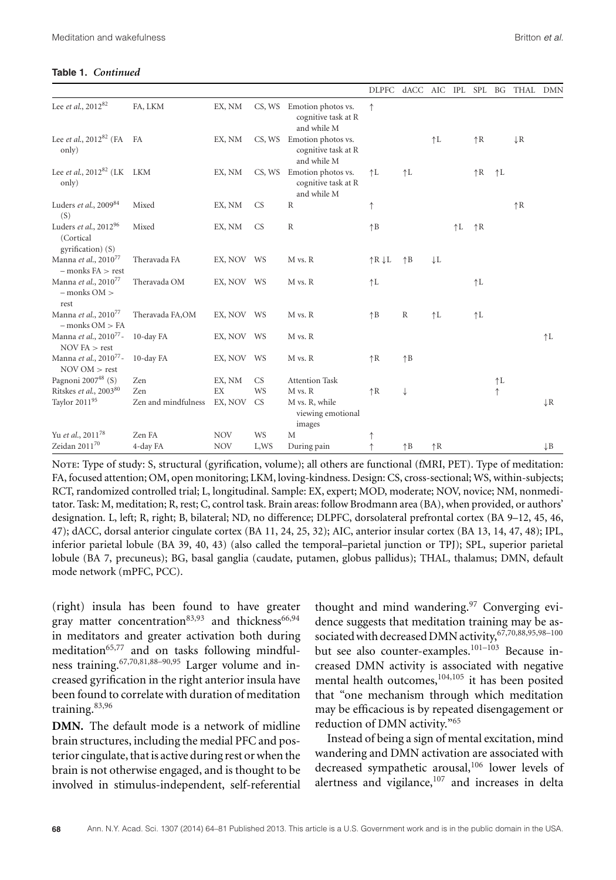#### **Table 1.** *Continued*

|                                                                     |                     |            |           |                                                                 | DLPFC dACC AIC IPL SPL BG THAL DMN |              |                |              |              |              |                |                |
|---------------------------------------------------------------------|---------------------|------------|-----------|-----------------------------------------------------------------|------------------------------------|--------------|----------------|--------------|--------------|--------------|----------------|----------------|
| Lee et al., 2012 <sup>82</sup>                                      | FA, LKM             | EX, NM     |           | CS, WS Emotion photos vs.<br>cognitive task at R<br>and while M | ↑                                  |              |                |              |              |              |                |                |
| Lee <i>et al.</i> , $2012^{82}$ (FA FA<br>only)                     |                     | EX, NM     |           | CS, WS Emotion photos vs.<br>cognitive task at R<br>and while M |                                    |              | $\uparrow$ L   |              | $\uparrow$ R |              | $\downarrow$ R |                |
| Lee et al., $2012^{82}$ (LK LKM<br>only)                            |                     | EX, NM     |           | CS, WS Emotion photos vs.<br>cognitive task at R<br>and while M | $\uparrow$ L                       | $\uparrow$ L |                |              | $\uparrow$ R | $\uparrow$ L |                |                |
| Luders et al., 2009 <sup>84</sup><br>(S)                            | Mixed               | EX, NM     | <b>CS</b> | $\mathbb R$                                                     | ↑                                  |              |                |              |              |              | $\uparrow$ R   |                |
| Luders et al., 2012 <sup>96</sup><br>(Cortical<br>gyrification) (S) | Mixed               | EX, NM     | <b>CS</b> | $\mathbb R$                                                     | $\uparrow$ B                       |              |                | $\uparrow$ L | $\uparrow$ R |              |                |                |
| Manna et al., 2010 <sup>77</sup><br>$-$ monks $FA >$ rest           | Theravada FA        | EX, NOV WS |           | M vs. R                                                         | $\uparrow$ R $\downarrow$ L        | $\uparrow$ B | $\downarrow$ L |              |              |              |                |                |
| Manna et al., 2010 <sup>77</sup><br>$-$ monks OM $>$<br>rest        | Theravada OM        | EX, NOV WS |           | M vs. R                                                         | $\uparrow$ L                       |              |                |              | $\uparrow$ L |              |                |                |
| Manna et al., 2010 <sup>77</sup><br>$-$ monks $OM > FA$             | Theravada FA,OM     | EX, NOV WS |           | M vs. R                                                         | $\uparrow$ B                       | $\mathbb R$  | $\uparrow$ L   |              | $\uparrow$ L |              |                |                |
| Manna et al., 2010 <sup>77</sup> -<br>NOVFA > rest                  | 10-day FA           | EX, NOV WS |           | M vs. R                                                         |                                    |              |                |              |              |              |                | $\uparrow$ L   |
| Manna et al., 2010 <sup>77</sup> -<br>NOVOM > rest                  | 10-day FA           | EX, NOV WS |           | M vs. R                                                         | $\uparrow$ R                       | $\uparrow$ B |                |              |              |              |                |                |
| Pagnoni 2007 $48$ (S)                                               | Zen                 | EX, NM     | <b>CS</b> | <b>Attention Task</b>                                           |                                    |              |                |              |              | $\uparrow$ L |                |                |
| Ritskes et al., 2003 <sup>80</sup>                                  | Zen                 | EX         | WS        | M vs. R                                                         | $\uparrow$ R                       | ↓            |                |              |              | $\uparrow$   |                |                |
| Taylor 201195                                                       | Zen and mindfulness | EX, NOV    | <b>CS</b> | M vs. R, while<br>viewing emotional<br>images                   |                                    |              |                |              |              |              |                | $\downarrow$ R |
| Yu et al., 2011 <sup>78</sup>                                       | Zen FA              | <b>NOV</b> | WS        | M                                                               | ↑                                  |              |                |              |              |              |                |                |
| Zeidan $2011^{70}$                                                  | 4-day FA            | <b>NOV</b> | L,WS      | During pain                                                     | ↑                                  | $\uparrow$ B | $\uparrow$ R   |              |              |              |                | $\downarrow$ B |

Note: Type of study: S, structural (gyrification, volume); all others are functional (fMRI, PET). Type of meditation: FA, focused attention; OM, open monitoring; LKM, loving-kindness. Design: CS, cross-sectional; WS, within-subjects; RCT, randomized controlled trial; L, longitudinal. Sample: EX, expert; MOD, moderate; NOV, novice; NM, nonmeditator. Task: M, meditation; R, rest; C, control task. Brain areas: follow Brodmann area (BA), when provided, or authors' designation. L, left; R, right; B, bilateral; ND, no difference; DLPFC, dorsolateral prefrontal cortex (BA 9–12, 45, 46, 47); dACC, dorsal anterior cingulate cortex (BA 11, 24, 25, 32); AIC, anterior insular cortex (BA 13, 14, 47, 48); IPL, inferior parietal lobule (BA 39, 40, 43) (also called the temporal–parietal junction or TPJ); SPL, superior parietal lobule (BA 7, precuneus); BG, basal ganglia (caudate, putamen, globus pallidus); THAL, thalamus; DMN, default mode network (mPFC, PCC).

(right) insula has been found to have greater gray matter concentration<sup>83,93</sup> and thickness<sup>66,94</sup> in meditators and greater activation both during meditation $65,77$  and on tasks following mindfulness training.67,70,81,88–90,95 Larger volume and increased gyrification in the right anterior insula have been found to correlate with duration of meditation training.83,96

**DMN.** The default mode is a network of midline brain structures, including the medial PFC and posterior cingulate, that is active during rest or when the brain is not otherwise engaged, and is thought to be involved in stimulus-independent, self-referential thought and mind wandering.<sup>97</sup> Converging evidence suggests that meditation training may be associated with decreased DMN activity, 67,70,88,95,98-100 but see also counter-examples.<sup>101-103</sup> Because increased DMN activity is associated with negative mental health outcomes,<sup>104,105</sup> it has been posited that "one mechanism through which meditation may be efficacious is by repeated disengagement or reduction of DMN activity."65

Instead of being a sign of mental excitation, mind wandering and DMN activation are associated with decreased sympathetic arousal,<sup>106</sup> lower levels of alertness and vigilance,<sup>107</sup> and increases in delta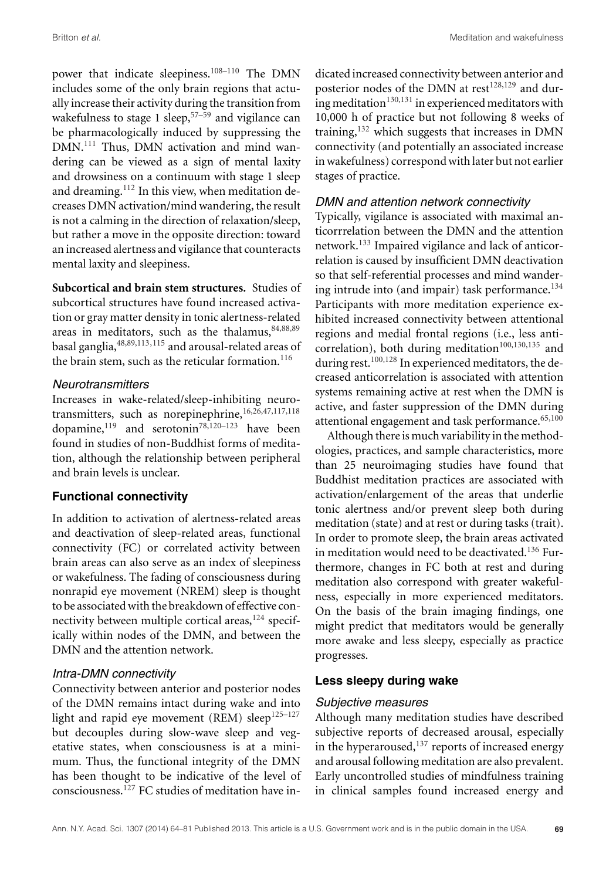power that indicate sleepiness.<sup>108-110</sup> The DMN includes some of the only brain regions that actually increase their activity during the transition from wakefulness to stage 1 sleep,  $57-59$  and vigilance can be pharmacologically induced by suppressing the DMN.<sup>111</sup> Thus, DMN activation and mind wandering can be viewed as a sign of mental laxity and drowsiness on a continuum with stage 1 sleep and dreaming.<sup>112</sup> In this view, when meditation decreases DMN activation/mind wandering, the result is not a calming in the direction of relaxation/sleep, but rather a move in the opposite direction: toward an increased alertness and vigilance that counteracts mental laxity and sleepiness.

**Subcortical and brain stem structures.** Studies of subcortical structures have found increased activation or gray matter density in tonic alertness-related areas in meditators, such as the thalamus, 84,88,89 basal ganglia,48,89,113,115 and arousal-related areas of the brain stem, such as the reticular formation. $^{116}$ 

# **Neurotransmitters**

Increases in wake-related/sleep-inhibiting neurotransmitters, such as norepinephrine,16,26,47,117,118 dopamine,<sup>119</sup> and serotonin<sup>78,120–123</sup> have been found in studies of non-Buddhist forms of meditation, although the relationship between peripheral and brain levels is unclear.

# **Functional connectivity**

In addition to activation of alertness-related areas and deactivation of sleep-related areas, functional connectivity (FC) or correlated activity between brain areas can also serve as an index of sleepiness or wakefulness. The fading of consciousness during nonrapid eye movement (NREM) sleep is thought to be associated with the breakdown of effective connectivity between multiple cortical areas,  $124$  specifically within nodes of the DMN, and between the DMN and the attention network.

# Intra-DMN connectivity

Connectivity between anterior and posterior nodes of the DMN remains intact during wake and into light and rapid eye movement (REM) sleep $125-127$ but decouples during slow-wave sleep and vegetative states, when consciousness is at a minimum. Thus, the functional integrity of the DMN has been thought to be indicative of the level of consciousness.<sup>127</sup> FC studies of meditation have in-

dicated increased connectivity between anterior and posterior nodes of the DMN at rest<sup>128,129</sup> and during meditation $130,131$  in experienced meditators with 10,000 h of practice but not following 8 weeks of training, $132$  which suggests that increases in DMN connectivity (and potentially an associated increase in wakefulness) correspond with later but not earlier stages of practice.

# DMN and attention network connectivity

Typically, vigilance is associated with maximal anticorrrelation between the DMN and the attention network.<sup>133</sup> Impaired vigilance and lack of anticorrelation is caused by insufficient DMN deactivation so that self-referential processes and mind wandering intrude into (and impair) task performance. $134$ Participants with more meditation experience exhibited increased connectivity between attentional regions and medial frontal regions (i.e., less anticorrelation), both during meditation<sup>100,130,135</sup> and during rest.<sup>100,128</sup> In experienced meditators, the decreased anticorrelation is associated with attention systems remaining active at rest when the DMN is active, and faster suppression of the DMN during attentional engagement and task performance.<sup>65,100</sup>

Although there is much variability in the methodologies, practices, and sample characteristics, more than 25 neuroimaging studies have found that Buddhist meditation practices are associated with activation/enlargement of the areas that underlie tonic alertness and/or prevent sleep both during meditation (state) and at rest or during tasks (trait). In order to promote sleep, the brain areas activated in meditation would need to be deactivated.<sup>136</sup> Furthermore, changes in FC both at rest and during meditation also correspond with greater wakefulness, especially in more experienced meditators. On the basis of the brain imaging findings, one might predict that meditators would be generally more awake and less sleepy, especially as practice progresses.

# **Less sleepy during wake**

# Subjective measures

Although many meditation studies have described subjective reports of decreased arousal, especially in the hyperaroused,  $137$  reports of increased energy and arousal following meditation are also prevalent. Early uncontrolled studies of mindfulness training in clinical samples found increased energy and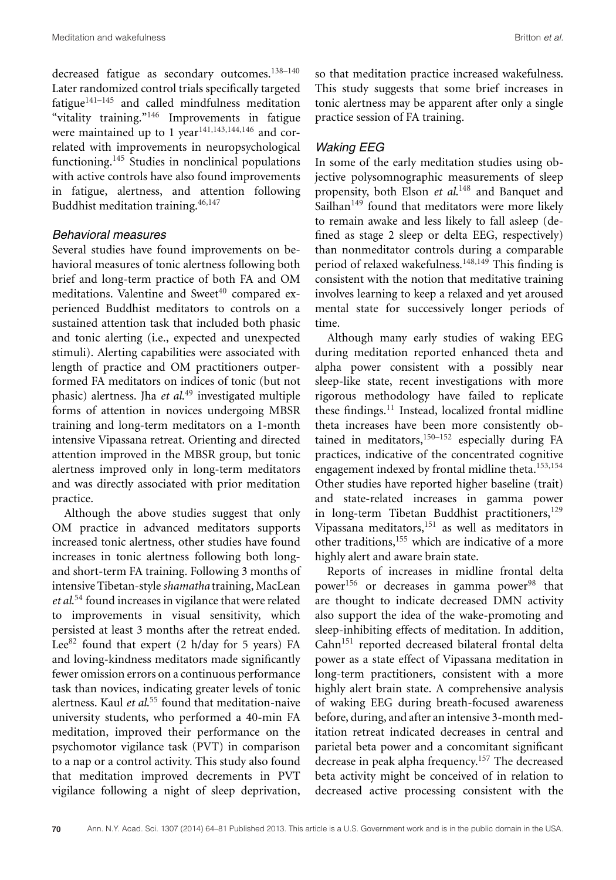decreased fatigue as secondary outcomes.<sup>138-140</sup> Later randomized control trials specifically targeted fatigue $141-145$  and called mindfulness meditation "vitality training."146 Improvements in fatigue were maintained up to 1 year<sup>141,143,144,146</sup> and correlated with improvements in neuropsychological functioning.<sup>145</sup> Studies in nonclinical populations with active controls have also found improvements in fatigue, alertness, and attention following Buddhist meditation training.46,147

### Behavioral measures

Several studies have found improvements on behavioral measures of tonic alertness following both brief and long-term practice of both FA and OM meditations. Valentine and Sweet<sup>40</sup> compared experienced Buddhist meditators to controls on a sustained attention task that included both phasic and tonic alerting (i.e., expected and unexpected stimuli). Alerting capabilities were associated with length of practice and OM practitioners outperformed FA meditators on indices of tonic (but not phasic) alertness. Jha *et al*. <sup>49</sup> investigated multiple forms of attention in novices undergoing MBSR training and long-term meditators on a 1-month intensive Vipassana retreat. Orienting and directed attention improved in the MBSR group, but tonic alertness improved only in long-term meditators and was directly associated with prior meditation practice.

Although the above studies suggest that only OM practice in advanced meditators supports increased tonic alertness, other studies have found increases in tonic alertness following both longand short-term FA training. Following 3 months of intensive Tibetan-style *shamatha* training, MacLean *et al*. <sup>54</sup> found increases in vigilance that were related to improvements in visual sensitivity, which persisted at least 3 months after the retreat ended. Lee<sup>82</sup> found that expert  $(2 h/day for 5 years) FA$ and loving-kindness meditators made significantly fewer omission errors on a continuous performance task than novices, indicating greater levels of tonic alertness. Kaul *et al*. <sup>55</sup> found that meditation-naive university students, who performed a 40-min FA meditation, improved their performance on the psychomotor vigilance task (PVT) in comparison to a nap or a control activity. This study also found that meditation improved decrements in PVT vigilance following a night of sleep deprivation, so that meditation practice increased wakefulness. This study suggests that some brief increases in tonic alertness may be apparent after only a single practice session of FA training.

### Waking EEG

In some of the early meditation studies using objective polysomnographic measurements of sleep propensity, both Elson *et al*. <sup>148</sup> and Banquet and Sailhan $149$  found that meditators were more likely to remain awake and less likely to fall asleep (defined as stage 2 sleep or delta EEG, respectively) than nonmeditator controls during a comparable period of relaxed wakefulness.<sup>148,149</sup> This finding is consistent with the notion that meditative training involves learning to keep a relaxed and yet aroused mental state for successively longer periods of time.

Although many early studies of waking EEG during meditation reported enhanced theta and alpha power consistent with a possibly near sleep-like state, recent investigations with more rigorous methodology have failed to replicate these findings. $11$  Instead, localized frontal midline theta increases have been more consistently obtained in meditators,  $150-152$  especially during FA practices, indicative of the concentrated cognitive engagement indexed by frontal midline theta. $153,154$ Other studies have reported higher baseline (trait) and state-related increases in gamma power in long-term Tibetan Buddhist practitioners,  $129$ Vipassana meditators,151 as well as meditators in other traditions,155 which are indicative of a more highly alert and aware brain state.

Reports of increases in midline frontal delta power<sup>156</sup> or decreases in gamma power<sup>98</sup> that are thought to indicate decreased DMN activity also support the idea of the wake-promoting and sleep-inhibiting effects of meditation. In addition, Cahn<sup>151</sup> reported decreased bilateral frontal delta power as a state effect of Vipassana meditation in long-term practitioners, consistent with a more highly alert brain state. A comprehensive analysis of waking EEG during breath-focused awareness before, during, and after an intensive 3-month meditation retreat indicated decreases in central and parietal beta power and a concomitant significant decrease in peak alpha frequency.157 The decreased beta activity might be conceived of in relation to decreased active processing consistent with the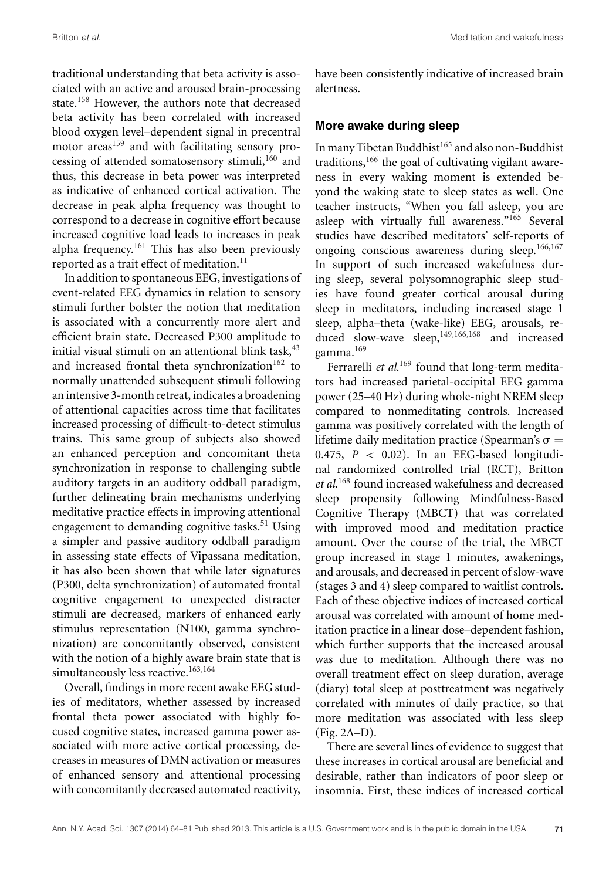traditional understanding that beta activity is associated with an active and aroused brain-processing state.<sup>158</sup> However, the authors note that decreased beta activity has been correlated with increased blood oxygen level–dependent signal in precentral motor areas<sup>159</sup> and with facilitating sensory processing of attended somatosensory stimuli, $160$  and thus, this decrease in beta power was interpreted as indicative of enhanced cortical activation. The decrease in peak alpha frequency was thought to correspond to a decrease in cognitive effort because increased cognitive load leads to increases in peak alpha frequency.<sup>161</sup> This has also been previously reported as a trait effect of meditation.<sup>11</sup>

In addition to spontaneous EEG, investigations of event-related EEG dynamics in relation to sensory stimuli further bolster the notion that meditation is associated with a concurrently more alert and efficient brain state. Decreased P300 amplitude to initial visual stimuli on an attentional blink task, <sup>43</sup> and increased frontal theta synchronization $162$  to normally unattended subsequent stimuli following an intensive 3-month retreat, indicates a broadening of attentional capacities across time that facilitates increased processing of difficult-to-detect stimulus trains. This same group of subjects also showed an enhanced perception and concomitant theta synchronization in response to challenging subtle auditory targets in an auditory oddball paradigm, further delineating brain mechanisms underlying meditative practice effects in improving attentional engagement to demanding cognitive tasks.<sup>51</sup> Using a simpler and passive auditory oddball paradigm in assessing state effects of Vipassana meditation, it has also been shown that while later signatures (P300, delta synchronization) of automated frontal cognitive engagement to unexpected distracter stimuli are decreased, markers of enhanced early stimulus representation (N100, gamma synchronization) are concomitantly observed, consistent with the notion of a highly aware brain state that is simultaneously less reactive.<sup>163,164</sup>

Overall, findings in more recent awake EEG studies of meditators, whether assessed by increased frontal theta power associated with highly focused cognitive states, increased gamma power associated with more active cortical processing, decreases in measures of DMN activation or measures of enhanced sensory and attentional processing with concomitantly decreased automated reactivity, have been consistently indicative of increased brain alertness.

### **More awake during sleep**

In many Tibetan Buddhist<sup>165</sup> and also non-Buddhist traditions,<sup>166</sup> the goal of cultivating vigilant awareness in every waking moment is extended beyond the waking state to sleep states as well. One teacher instructs, "When you fall asleep, you are asleep with virtually full awareness."<sup>165</sup> Several studies have described meditators' self-reports of ongoing conscious awareness during sleep.166,167 In support of such increased wakefulness during sleep, several polysomnographic sleep studies have found greater cortical arousal during sleep in meditators, including increased stage 1 sleep, alpha–theta (wake-like) EEG, arousals, reduced slow-wave sleep,<sup>149,166,168</sup> and increased gamma.<sup>169</sup>

Ferrarelli et al.<sup>169</sup> found that long-term meditators had increased parietal-occipital EEG gamma power (25–40 Hz) during whole-night NREM sleep compared to nonmeditating controls. Increased gamma was positively correlated with the length of lifetime daily meditation practice (Spearman's  $\sigma =$ 0.475,  $P < 0.02$ ). In an EEG-based longitudinal randomized controlled trial (RCT), Britton *et al*. <sup>168</sup> found increased wakefulness and decreased sleep propensity following Mindfulness-Based Cognitive Therapy (MBCT) that was correlated with improved mood and meditation practice amount. Over the course of the trial, the MBCT group increased in stage 1 minutes, awakenings, and arousals, and decreased in percent of slow-wave (stages 3 and 4) sleep compared to waitlist controls. Each of these objective indices of increased cortical arousal was correlated with amount of home meditation practice in a linear dose–dependent fashion, which further supports that the increased arousal was due to meditation. Although there was no overall treatment effect on sleep duration, average (diary) total sleep at posttreatment was negatively correlated with minutes of daily practice, so that more meditation was associated with less sleep (Fig. 2A–D).

There are several lines of evidence to suggest that these increases in cortical arousal are beneficial and desirable, rather than indicators of poor sleep or insomnia. First, these indices of increased cortical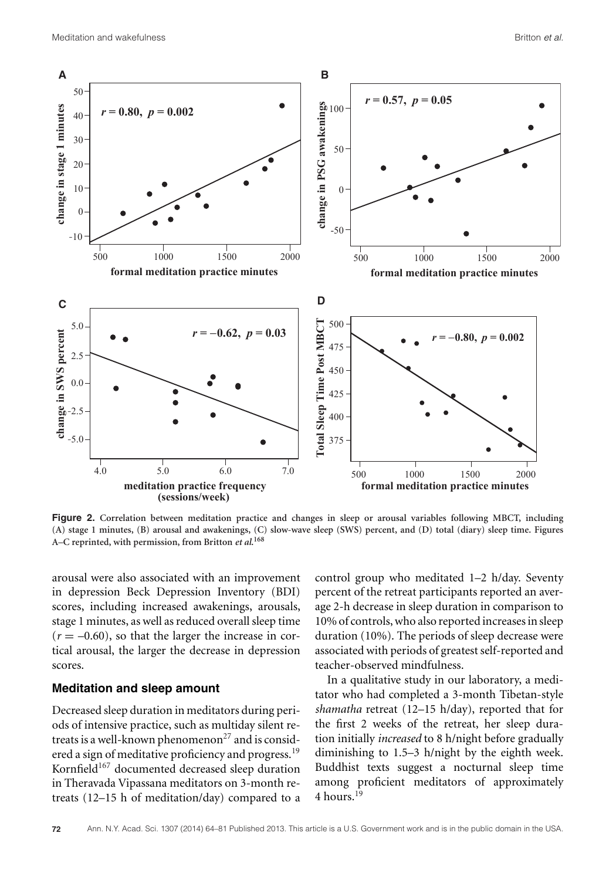

**Figure 2. Correlation between meditation practice and changes in sleep or arousal variables following MBCT, including (A) stage 1 minutes, (B) arousal and awakenings, (C) slow-wave sleep (SWS) percent, and (D) total (diary) sleep time. Figures A–C reprinted, with permission, from Britton** *et al***. 168**

arousal were also associated with an improvement in depression Beck Depression Inventory (BDI) scores, including increased awakenings, arousals, stage 1 minutes, as well as reduced overall sleep time  $(r = -0.60)$ , so that the larger the increase in cortical arousal, the larger the decrease in depression scores.

#### **Meditation and sleep amount**

Decreased sleep duration in meditators during periods of intensive practice, such as multiday silent retreats is a well-known phenomenon<sup>27</sup> and is considered a sign of meditative proficiency and progress.<sup>19</sup> Kornfield<sup>167</sup> documented decreased sleep duration in Theravada Vipassana meditators on 3-month retreats (12–15 h of meditation/day) compared to a control group who meditated 1–2 h/day. Seventy percent of the retreat participants reported an average 2-h decrease in sleep duration in comparison to 10% of controls, who also reported increases in sleep duration (10%). The periods of sleep decrease were associated with periods of greatest self-reported and teacher-observed mindfulness.

In a qualitative study in our laboratory, a meditator who had completed a 3-month Tibetan-style *shamatha* retreat (12–15 h/day), reported that for the first 2 weeks of the retreat, her sleep duration initially *increased* to 8 h/night before gradually diminishing to 1.5–3 h/night by the eighth week. Buddhist texts suggest a nocturnal sleep time among proficient meditators of approximately  $4$  hours<sup>19</sup>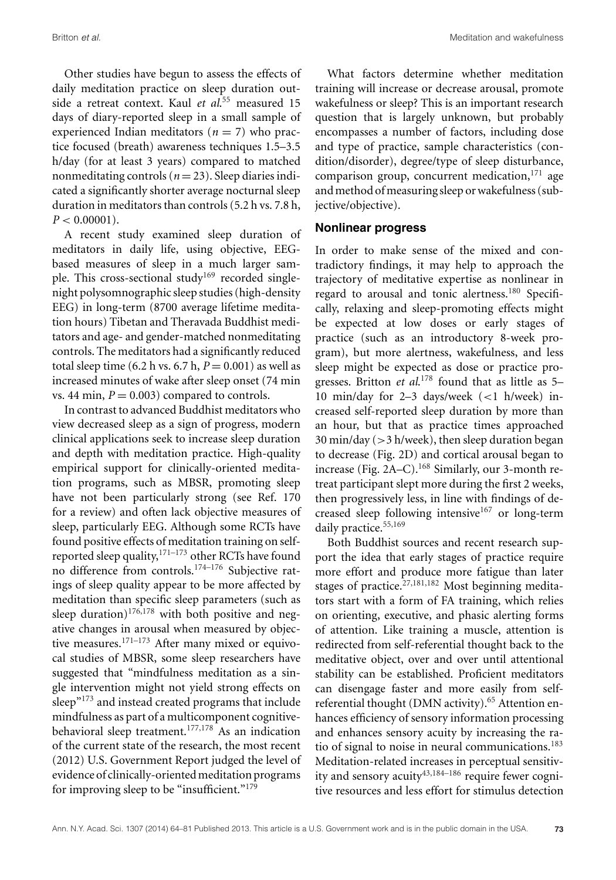Britton *et al.* Meditation and wakefulness

Other studies have begun to assess the effects of daily meditation practice on sleep duration outside a retreat context. Kaul *et al*. <sup>55</sup> measured 15 days of diary-reported sleep in a small sample of experienced Indian meditators ( $n = 7$ ) who practice focused (breath) awareness techniques 1.5–3.5 h/day (for at least 3 years) compared to matched nonmeditating controls ( $n = 23$ ). Sleep diaries indicated a significantly shorter average nocturnal sleep duration in meditators than controls (5.2 h vs. 7.8 h,  $P < 0.00001$ ).

A recent study examined sleep duration of meditators in daily life, using objective, EEGbased measures of sleep in a much larger sample. This cross-sectional study<sup>169</sup> recorded singlenight polysomnographic sleep studies (high-density EEG) in long-term (8700 average lifetime meditation hours) Tibetan and Theravada Buddhist meditators and age- and gender-matched nonmeditating controls. The meditators had a significantly reduced total sleep time  $(6.2 h vs. 6.7 h, P = 0.001)$  as well as increased minutes of wake after sleep onset (74 min vs. 44 min,  $P = 0.003$  compared to controls.

In contrast to advanced Buddhist meditators who view decreased sleep as a sign of progress, modern clinical applications seek to increase sleep duration and depth with meditation practice. High-quality empirical support for clinically-oriented meditation programs, such as MBSR, promoting sleep have not been particularly strong (see Ref. 170 for a review) and often lack objective measures of sleep, particularly EEG. Although some RCTs have found positive effects of meditation training on selfreported sleep quality,  $171-173$  other RCTs have found no difference from controls.174–176 Subjective ratings of sleep quality appear to be more affected by meditation than specific sleep parameters (such as sleep duration) $176,178$  with both positive and negative changes in arousal when measured by objective measures.<sup>171–173</sup> After many mixed or equivocal studies of MBSR, some sleep researchers have suggested that "mindfulness meditation as a single intervention might not yield strong effects on sleep $^{n173}$  and instead created programs that include mindfulness as part of a multicomponent cognitivebehavioral sleep treatment.<sup>177,178</sup> As an indication of the current state of the research, the most recent (2012) U.S. Government Report judged the level of evidence of clinically-oriented meditation programs for improving sleep to be "insufficient."179

What factors determine whether meditation training will increase or decrease arousal, promote wakefulness or sleep? This is an important research question that is largely unknown, but probably encompasses a number of factors, including dose and type of practice, sample characteristics (condition/disorder), degree/type of sleep disturbance, comparison group, concurrent medication, $171$  age and method of measuring sleep or wakefulness (subjective/objective).

#### **Nonlinear progress**

In order to make sense of the mixed and contradictory findings, it may help to approach the trajectory of meditative expertise as nonlinear in regard to arousal and tonic alertness.<sup>180</sup> Specifically, relaxing and sleep-promoting effects might be expected at low doses or early stages of practice (such as an introductory 8-week program), but more alertness, wakefulness, and less sleep might be expected as dose or practice progresses. Britton *et al*. <sup>178</sup> found that as little as 5– 10 min/day for 2–3 days/week (<1 h/week) increased self-reported sleep duration by more than an hour, but that as practice times approached  $30 \text{ min/day}$  ( $>3 \text{ h/week}$ ), then sleep duration began to decrease (Fig. 2D) and cortical arousal began to increase (Fig. 2A–C).<sup>168</sup> Similarly, our 3-month retreat participant slept more during the first 2 weeks, then progressively less, in line with findings of decreased sleep following intensive<sup>167</sup> or long-term daily practice.<sup>55,169</sup>

Both Buddhist sources and recent research support the idea that early stages of practice require more effort and produce more fatigue than later stages of practice.<sup>27,181,182</sup> Most beginning meditators start with a form of FA training, which relies on orienting, executive, and phasic alerting forms of attention. Like training a muscle, attention is redirected from self-referential thought back to the meditative object, over and over until attentional stability can be established. Proficient meditators can disengage faster and more easily from selfreferential thought (DMN activity).<sup>65</sup> Attention enhances efficiency of sensory information processing and enhances sensory acuity by increasing the ratio of signal to noise in neural communications.<sup>183</sup> Meditation-related increases in perceptual sensitivity and sensory acuity<sup>43,184–186</sup> require fewer cognitive resources and less effort for stimulus detection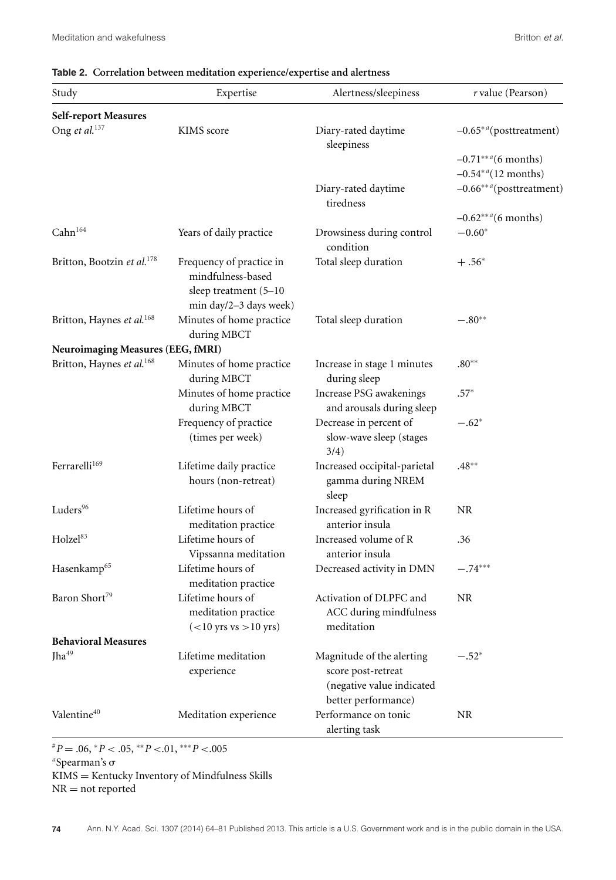# **Table 2. Correlation between meditation experience/expertise and alertness**

| Study                                  | Expertise                                                                                        | Alertness/sleepiness                                                                                | r value (Pearson)                  |  |  |  |  |
|----------------------------------------|--------------------------------------------------------------------------------------------------|-----------------------------------------------------------------------------------------------------|------------------------------------|--|--|--|--|
| Self-report Measures                   |                                                                                                  |                                                                                                     |                                    |  |  |  |  |
| Ong et al. <sup>137</sup>              | KIMS score                                                                                       | Diary-rated daytime<br>sleepiness                                                                   | $-0.65**a$ (posttreatment)         |  |  |  |  |
|                                        |                                                                                                  |                                                                                                     | $-0.71***$ <sup>a</sup> (6 months) |  |  |  |  |
|                                        |                                                                                                  |                                                                                                     | $-0.54^{*a}$ (12 months)           |  |  |  |  |
|                                        |                                                                                                  | Diary-rated daytime<br>tiredness                                                                    | $-0.66***^a$ (posttreatment)       |  |  |  |  |
|                                        |                                                                                                  |                                                                                                     | $-0.62***^{a}$ (6 months)          |  |  |  |  |
| Cahn <sup>164</sup>                    | Years of daily practice                                                                          | Drowsiness during control<br>condition                                                              | $-0.60*$                           |  |  |  |  |
| Britton, Bootzin et al. <sup>178</sup> | Frequency of practice in<br>mindfulness-based<br>sleep treatment (5-10<br>min day/2-3 days week) | Total sleep duration                                                                                | $+.56*$                            |  |  |  |  |
| Britton, Haynes et al. <sup>168</sup>  | Minutes of home practice<br>during MBCT                                                          | Total sleep duration                                                                                | $-.80**$                           |  |  |  |  |
| Neuroimaging Measures (EEG, fMRI)      |                                                                                                  |                                                                                                     |                                    |  |  |  |  |
| Britton, Haynes et al. <sup>168</sup>  | Minutes of home practice<br>during MBCT                                                          | Increase in stage 1 minutes<br>during sleep                                                         | $.80**$                            |  |  |  |  |
|                                        | Minutes of home practice<br>during MBCT                                                          | Increase PSG awakenings<br>and arousals during sleep                                                | $.57*$                             |  |  |  |  |
|                                        | Frequency of practice<br>(times per week)                                                        | Decrease in percent of<br>slow-wave sleep (stages<br>3/4)                                           | $-.62*$                            |  |  |  |  |
| Ferrarelli <sup>169</sup>              | Lifetime daily practice<br>hours (non-retreat)                                                   | Increased occipital-parietal<br>gamma during NREM<br>sleep                                          | $.48***$                           |  |  |  |  |
| Luders <sup>96</sup>                   | Lifetime hours of<br>meditation practice                                                         | Increased gyrification in R<br>anterior insula                                                      | NR                                 |  |  |  |  |
| Holzel <sup>83</sup>                   | Lifetime hours of<br>Vipssanna meditation                                                        | Increased volume of R<br>anterior insula                                                            | .36                                |  |  |  |  |
| Hasenkamp <sup>65</sup>                | Lifetime hours of<br>meditation practice                                                         | Decreased activity in DMN                                                                           | $-.74***$                          |  |  |  |  |
| Baron Short <sup>79</sup>              | Lifetime hours of<br>meditation practice<br>$(<10$ yrs vs $>10$ yrs)                             | Activation of DLPFC and<br>ACC during mindfulness<br>meditation                                     | <b>NR</b>                          |  |  |  |  |
| <b>Behavioral Measures</b>             |                                                                                                  |                                                                                                     |                                    |  |  |  |  |
| Jha <sup>49</sup>                      | Lifetime meditation<br>experience                                                                | Magnitude of the alerting<br>score post-retreat<br>(negative value indicated<br>better performance) | $-.52*$                            |  |  |  |  |
| Valentine <sup>40</sup>                | Meditation experience                                                                            | Performance on tonic<br>alerting task                                                               | <b>NR</b>                          |  |  |  |  |

 $P^*P = .06, P < .05, P^*P < .01, P^*P < .005$ <sup>a</sup>Spearman's σ KIMS = Kentucky Inventory of Mindfulness Skills  $\mathrm{NR} = \mathrm{not}$  reported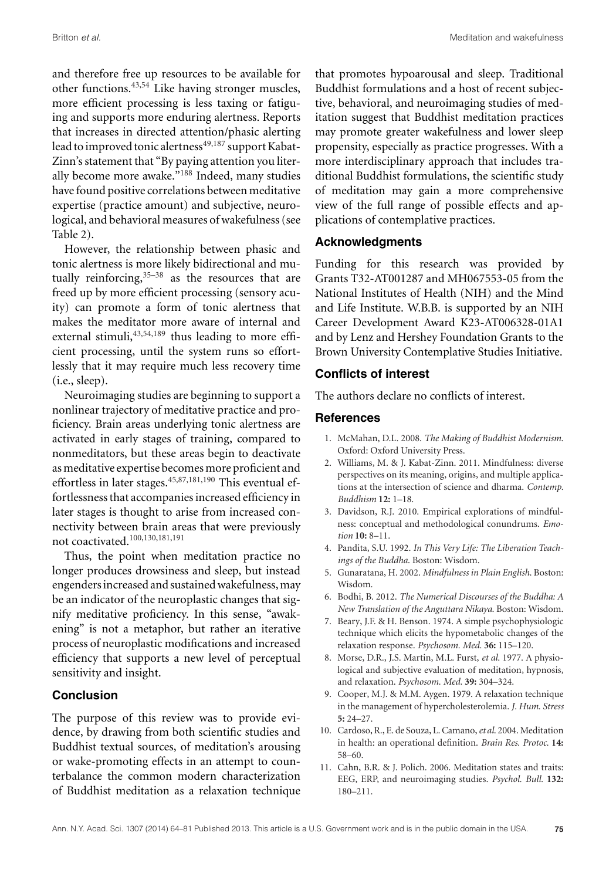and therefore free up resources to be available for other functions.43,54 Like having stronger muscles, more efficient processing is less taxing or fatiguing and supports more enduring alertness. Reports that increases in directed attention/phasic alerting lead to improved tonic alertness<sup>49,187</sup> support Kabat-Zinn's statement that "By paying attention you literally become more awake."<sup>188</sup> Indeed, many studies have found positive correlations between meditative expertise (practice amount) and subjective, neurological, and behavioral measures of wakefulness (see Table 2).

However, the relationship between phasic and tonic alertness is more likely bidirectional and mutually reinforcing,  $35-38$  as the resources that are freed up by more efficient processing (sensory acuity) can promote a form of tonic alertness that makes the meditator more aware of internal and external stimuli,  $43,54,189$  thus leading to more efficient processing, until the system runs so effortlessly that it may require much less recovery time (i.e., sleep).

Neuroimaging studies are beginning to support a nonlinear trajectory of meditative practice and proficiency. Brain areas underlying tonic alertness are activated in early stages of training, compared to nonmeditators, but these areas begin to deactivate as meditative expertise becomes more proficient and effortless in later stages.<sup>45,87,181,190</sup> This eventual effortlessness that accompanies increased efficiency in later stages is thought to arise from increased connectivity between brain areas that were previously not coactivated.100,130,181,191

Thus, the point when meditation practice no longer produces drowsiness and sleep, but instead engendersincreased and sustainedwakefulness,may be an indicator of the neuroplastic changes that signify meditative proficiency. In this sense, "awakening" is not a metaphor, but rather an iterative process of neuroplastic modifications and increased efficiency that supports a new level of perceptual sensitivity and insight.

### **Conclusion**

The purpose of this review was to provide evidence, by drawing from both scientific studies and Buddhist textual sources, of meditation's arousing or wake-promoting effects in an attempt to counterbalance the common modern characterization of Buddhist meditation as a relaxation technique

that promotes hypoarousal and sleep. Traditional Buddhist formulations and a host of recent subjective, behavioral, and neuroimaging studies of meditation suggest that Buddhist meditation practices may promote greater wakefulness and lower sleep propensity, especially as practice progresses. With a more interdisciplinary approach that includes traditional Buddhist formulations, the scientific study of meditation may gain a more comprehensive view of the full range of possible effects and applications of contemplative practices.

## **Acknowledgments**

Funding for this research was provided by Grants T32-AT001287 and MH067553-05 from the National Institutes of Health (NIH) and the Mind and Life Institute. W.B.B. is supported by an NIH Career Development Award K23-AT006328-01A1 and by Lenz and Hershey Foundation Grants to the Brown University Contemplative Studies Initiative.

# **Conflicts of interest**

The authors declare no conflicts of interest.

## **References**

- 1. McMahan, D.L. 2008. *The Making of Buddhist Modernism*. Oxford: Oxford University Press.
- 2. Williams, M. & J. Kabat-Zinn. 2011. Mindfulness: diverse perspectives on its meaning, origins, and multiple applications at the intersection of science and dharma. *Contemp. Buddhism* **12:** 1–18.
- 3. Davidson, R.J. 2010. Empirical explorations of mindfulness: conceptual and methodological conundrums. *Emotion* **10:** 8–11.
- 4. Pandita, S.U. 1992. *In This Very Life: The Liberation Teachings of the Buddha*. Boston: Wisdom.
- 5. Gunaratana, H. 2002. *Mindfulness in Plain English*. Boston: Wisdom.
- 6. Bodhi, B. 2012. *The Numerical Discourses of the Buddha: A New Translation of the Anguttara Nikaya*. Boston: Wisdom.
- 7. Beary, J.F. & H. Benson. 1974. A simple psychophysiologic technique which elicits the hypometabolic changes of the relaxation response. *Psychosom. Med.* **36:** 115–120.
- 8. Morse, D.R., J.S. Martin, M.L. Furst, *et al*. 1977. A physiological and subjective evaluation of meditation, hypnosis, and relaxation. *Psychosom. Med.* **39:** 304–324.
- 9. Cooper, M.J. & M.M. Aygen. 1979. A relaxation technique in the management of hypercholesterolemia. *J. Hum. Stress* **5:** 24–27.
- 10. Cardoso, R., E. de Souza, L. Camano,*et al*. 2004.Meditation in health: an operational definition. *Brain Res. Protoc.* **14:** 58–60.
- 11. Cahn, B.R. & J. Polich. 2006. Meditation states and traits: EEG, ERP, and neuroimaging studies. *Psychol. Bull.* **132:** 180–211.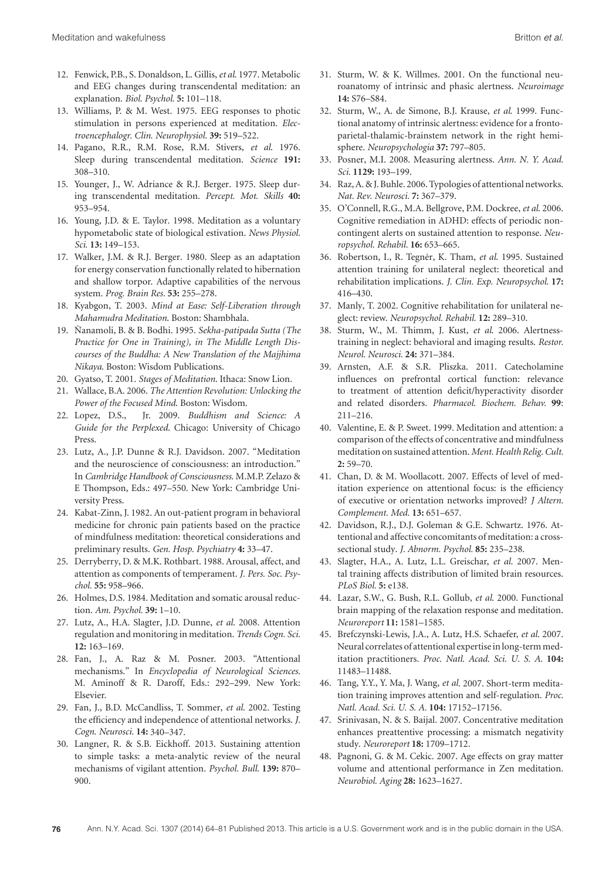- 12. Fenwick, P.B., S. Donaldson, L. Gillis,*et al*. 1977. Metabolic and EEG changes during transcendental meditation: an explanation. *Biol. Psychol.* **5:** 101–118.
- 13. Williams, P. & M. West. 1975. EEG responses to photic stimulation in persons experienced at meditation. *Electroencephalogr. Clin. Neurophysiol.* **39:** 519–522.
- 14. Pagano, R.R., R.M. Rose, R.M. Stivers, *et al*. 1976. Sleep during transcendental meditation. *Science* **191:** 308–310.
- 15. Younger, J., W. Adriance & R.J. Berger. 1975. Sleep during transcendental meditation. *Percept. Mot. Skills* **40:** 953–954.
- 16. Young, J.D. & E. Taylor. 1998. Meditation as a voluntary hypometabolic state of biological estivation. *News Physiol. Sci.* **13:** 149–153.
- 17. Walker, J.M. & R.J. Berger. 1980. Sleep as an adaptation for energy conservation functionally related to hibernation and shallow torpor. Adaptive capabilities of the nervous system. *Prog. Brain Res.* **53:** 255–278.
- 18. Kyabgon, T. 2003. *Mind at Ease: Self-Liberation through Mahamudra Meditation*. Boston: Shambhala.
- 19. Nanamoli, B. & B. Bodhi. 1995. ˜ *Sekha-patipada Sutta (The Practice for One in Training), in The Middle Length Discourses of the Buddha: A New Translation of the Majjhima Nikaya*. Boston: Wisdom Publications.
- 20. Gyatso, T. 2001. *Stages of Meditation*. Ithaca: Snow Lion.
- 21. Wallace, B.A. 2006. *The Attention Revolution: Unlocking the Power of the Focused Mind*. Boston: Wisdom.
- 22. Lopez, D.S., Jr. 2009. *Buddhism and Science: A Guide for the Perplexed*. Chicago: University of Chicago Press.
- 23. Lutz, A., J.P. Dunne & R.J. Davidson. 2007. "Meditation and the neuroscience of consciousness: an introduction." In *Cambridge Handbook of Consciousness*. M.M.P. Zelazo & E Thompson, Eds.: 497–550. New York: Cambridge University Press.
- 24. Kabat-Zinn, J. 1982. An out-patient program in behavioral medicine for chronic pain patients based on the practice of mindfulness meditation: theoretical considerations and preliminary results. *Gen. Hosp. Psychiatry* **4:** 33–47.
- 25. Derryberry, D. & M.K. Rothbart. 1988. Arousal, affect, and attention as components of temperament. *J. Pers. Soc. Psychol.* **55:** 958–966.
- 26. Holmes, D.S. 1984. Meditation and somatic arousal reduction. *Am. Psychol.* **39:** 1–10.
- 27. Lutz, A., H.A. Slagter, J.D. Dunne, *et al*. 2008. Attention regulation and monitoring in meditation. *Trends Cogn. Sci.* **12:** 163–169.
- 28. Fan, J., A. Raz & M. Posner. 2003. "Attentional mechanisms." In *Encyclopedia of Neurological Sciences*. M. Aminoff & R. Daroff, Eds.: 292–299. New York: Elsevier.
- 29. Fan, J., B.D. McCandliss, T. Sommer, *et al*. 2002. Testing the efficiency and independence of attentional networks. *J. Cogn. Neurosci.* **14:** 340–347.
- 30. Langner, R. & S.B. Eickhoff. 2013. Sustaining attention to simple tasks: a meta-analytic review of the neural mechanisms of vigilant attention. *Psychol. Bull.* **139:** 870– 900.
- 31. Sturm, W. & K. Willmes. 2001. On the functional neuroanatomy of intrinsic and phasic alertness. *Neuroimage* **14:** S76–S84.
- 32. Sturm, W., A. de Simone, B.J. Krause, *et al*. 1999. Functional anatomy of intrinsic alertness: evidence for a frontoparietal-thalamic-brainstem network in the right hemisphere. *Neuropsychologia* **37:** 797–805.
- 33. Posner, M.I. 2008. Measuring alertness. *Ann. N. Y. Acad. Sci.* **1129:** 193–199.
- 34. Raz, A. & J. Buhle. 2006. Typologies of attentional networks. *Nat. Rev. Neurosci.* **7:** 367–379.
- 35. O'Connell, R.G., M.A. Bellgrove, P.M. Dockree, *et al*. 2006. Cognitive remediation in ADHD: effects of periodic noncontingent alerts on sustained attention to response. *Neuropsychol. Rehabil.* **16:** 653–665.
- 36. Robertson, I., R. Tegnér, K. Tham, et al. 1995. Sustained attention training for unilateral neglect: theoretical and rehabilitation implications. *J. Clin. Exp. Neuropsychol.* **17:** 416–430.
- 37. Manly, T. 2002. Cognitive rehabilitation for unilateral neglect: review. *Neuropsychol. Rehabil.* **12:** 289–310.
- 38. Sturm, W., M. Thimm, J. Kust, *et al*. 2006. Alertnesstraining in neglect: behavioral and imaging results. *Restor. Neurol. Neurosci.* **24:** 371–384.
- 39. Arnsten, A.F. & S.R. Pliszka. 2011. Catecholamine influences on prefrontal cortical function: relevance to treatment of attention deficit/hyperactivity disorder and related disorders. *Pharmacol. Biochem. Behav.* **99**: 211–216.
- 40. Valentine, E. & P. Sweet. 1999. Meditation and attention: a comparison of the effects of concentrative and mindfulness meditation on sustained attention. *Ment. Health Relig. Cult.* **2:** 59–70.
- 41. Chan, D. & M. Woollacott. 2007. Effects of level of meditation experience on attentional focus: is the efficiency of executive or orientation networks improved? *J Altern. Complement. Med.* **13:** 651–657.
- 42. Davidson, R.J., D.J. Goleman & G.E. Schwartz. 1976. Attentional and affective concomitants of meditation: a crosssectional study. *J. Abnorm. Psychol.* **85:** 235–238.
- 43. Slagter, H.A., A. Lutz, L.L. Greischar, *et al*. 2007. Mental training affects distribution of limited brain resources. *PLoS Biol.* **5:** e138.
- 44. Lazar, S.W., G. Bush, R.L. Gollub, *et al*. 2000. Functional brain mapping of the relaxation response and meditation. *Neuroreport* **11:** 1581–1585.
- 45. Brefczynski-Lewis, J.A., A. Lutz, H.S. Schaefer, *et al*. 2007. Neural correlates of attentional expertise in long-term meditation practitioners. *Proc. Natl. Acad. Sci. U. S. A.* **104:** 11483–11488.
- 46. Tang, Y.Y., Y. Ma, J. Wang, *et al*. 2007. Short-term meditation training improves attention and self-regulation. *Proc. Natl. Acad. Sci. U. S. A.* **104:** 17152–17156.
- 47. Srinivasan, N. & S. Baijal. 2007. Concentrative meditation enhances preattentive processing: a mismatch negativity study. *Neuroreport* **18:** 1709–1712.
- 48. Pagnoni, G. & M. Cekic. 2007. Age effects on gray matter volume and attentional performance in Zen meditation. *Neurobiol. Aging* **28:** 1623–1627.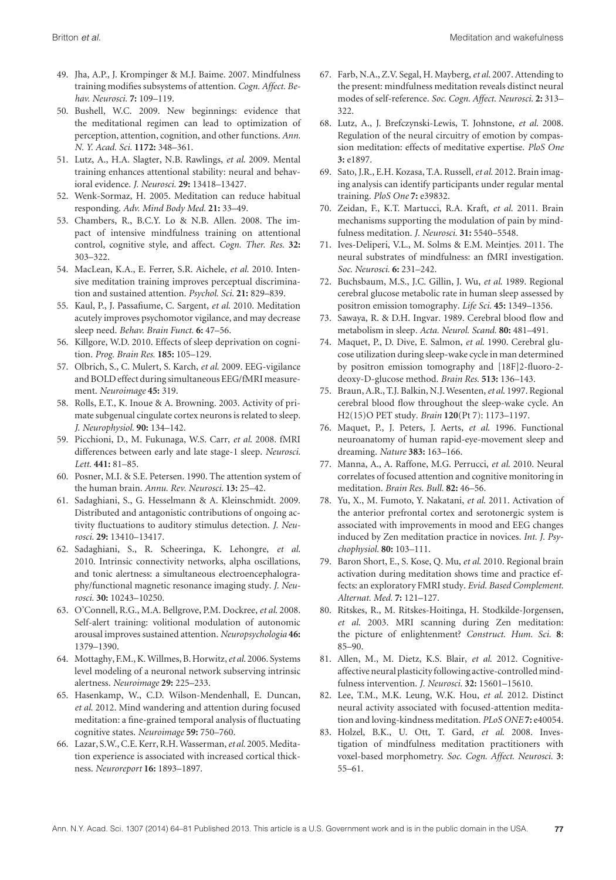- 49. Jha, A.P., J. Krompinger & M.J. Baime. 2007. Mindfulness training modifies subsystems of attention. *Cogn. Affect. Behav. Neurosci.* **7:** 109–119.
- 50. Bushell, W.C. 2009. New beginnings: evidence that the meditational regimen can lead to optimization of perception, attention, cognition, and other functions. *Ann. N. Y. Acad. Sci.* **1172:** 348–361.
- 51. Lutz, A., H.A. Slagter, N.B. Rawlings, *et al*. 2009. Mental training enhances attentional stability: neural and behavioral evidence. *J. Neurosci.* **29:** 13418–13427.
- 52. Wenk-Sormaz, H. 2005. Meditation can reduce habitual responding. *Adv. Mind Body Med.* **21:** 33–49.
- 53. Chambers, R., B.C.Y. Lo & N.B. Allen. 2008. The impact of intensive mindfulness training on attentional control, cognitive style, and affect. *Cogn. Ther. Res.* **32:** 303–322.
- 54. MacLean, K.A., E. Ferrer, S.R. Aichele, *et al*. 2010. Intensive meditation training improves perceptual discrimination and sustained attention. *Psychol. Sci.* **21:** 829–839.
- 55. Kaul, P., J. Passafiume, C. Sargent, *et al*. 2010. Meditation acutely improves psychomotor vigilance, and may decrease sleep need. *Behav. Brain Funct.* **6:** 47–56.
- 56. Killgore, W.D. 2010. Effects of sleep deprivation on cognition. *Prog. Brain Res.* **185:** 105–129.
- 57. Olbrich, S., C. Mulert, S. Karch, *et al*. 2009. EEG-vigilance and BOLD effect during simultaneous EEG/fMRI measurement. *Neuroimage* **45:** 319.
- 58. Rolls, E.T., K. Inoue & A. Browning. 2003. Activity of primate subgenual cingulate cortex neurons is related to sleep. *J. Neurophysiol.* **90:** 134–142.
- 59. Picchioni, D., M. Fukunaga, W.S. Carr, *et al*. 2008. fMRI differences between early and late stage-1 sleep. *Neurosci. Lett.* **441:** 81–85.
- 60. Posner, M.I. & S.E. Petersen. 1990. The attention system of the human brain. *Annu. Rev. Neurosci.* **13:** 25–42.
- 61. Sadaghiani, S., G. Hesselmann & A. Kleinschmidt. 2009. Distributed and antagonistic contributions of ongoing activity fluctuations to auditory stimulus detection. *J. Neurosci.* **29:** 13410–13417.
- 62. Sadaghiani, S., R. Scheeringa, K. Lehongre, *et al*. 2010. Intrinsic connectivity networks, alpha oscillations, and tonic alertness: a simultaneous electroencephalography/functional magnetic resonance imaging study. *J. Neurosci.* **30:** 10243–10250.
- 63. O'Connell, R.G., M.A. Bellgrove, P.M. Dockree, *et al*. 2008. Self-alert training: volitional modulation of autonomic arousal improves sustained attention. *Neuropsychologia* **46:** 1379–1390.
- 64. Mottaghy, F.M., K.Willmes, B. Horwitz,*et al*. 2006. Systems level modeling of a neuronal network subserving intrinsic alertness. *Neuroimage* **29:** 225–233.
- 65. Hasenkamp, W., C.D. Wilson-Mendenhall, E. Duncan, *et al*. 2012. Mind wandering and attention during focused meditation: a fine-grained temporal analysis of fluctuating cognitive states. *Neuroimage* **59:** 750–760.
- 66. Lazar, S.W., C.E. Kerr, R.H.Wasserman,*et al*. 2005.Meditation experience is associated with increased cortical thickness. *Neuroreport* **16:** 1893–1897.
- 67. Farb, N.A., Z.V. Segal, H. Mayberg,*et al*. 2007. Attending to the present: mindfulness meditation reveals distinct neural modes of self-reference. *Soc. Cogn. Affect. Neurosci.* **2:** 313– 322.
- 68. Lutz, A., J. Brefczynski-Lewis, T. Johnstone, *et al*. 2008. Regulation of the neural circuitry of emotion by compassion meditation: effects of meditative expertise. *PloS One* **3:** e1897.
- 69. Sato, J.R., E.H. Kozasa, T.A. Russell,*et al*. 2012. Brain imaging analysis can identify participants under regular mental training. *PloS One* **7:** e39832.
- 70. Zeidan, F., K.T. Martucci, R.A. Kraft, *et al*. 2011. Brain mechanisms supporting the modulation of pain by mindfulness meditation. *J. Neurosci.* **31:** 5540–5548.
- 71. Ives-Deliperi, V.L., M. Solms & E.M. Meintjes. 2011. The neural substrates of mindfulness: an fMRI investigation. *Soc. Neurosci.* **6:** 231–242.
- 72. Buchsbaum, M.S., J.C. Gillin, J. Wu, *et al*. 1989. Regional cerebral glucose metabolic rate in human sleep assessed by positron emission tomography. *Life Sci.* **45:** 1349–1356.
- 73. Sawaya, R. & D.H. Ingvar. 1989. Cerebral blood flow and metabolism in sleep. *Acta. Neurol. Scand.* **80:** 481–491.
- 74. Maquet, P., D. Dive, E. Salmon, *et al*. 1990. Cerebral glucose utilization during sleep-wake cycle in man determined by positron emission tomography and [18F]2-fluoro-2 deoxy-D-glucose method. *Brain Res.* **513:** 136–143.
- 75. Braun, A.R., T.J. Balkin, N.J. Wesenten,*et al*. 1997. Regional cerebral blood flow throughout the sleep-wake cycle. An H2(15)O PET study. *Brain* **120**(Pt 7): 1173–1197.
- 76. Maquet, P., J. Peters, J. Aerts, *et al*. 1996. Functional neuroanatomy of human rapid-eye-movement sleep and dreaming. *Nature* **383:** 163–166.
- 77. Manna, A., A. Raffone, M.G. Perrucci, *et al*. 2010. Neural correlates of focused attention and cognitive monitoring in meditation. *Brain Res. Bull.* **82:** 46–56.
- 78. Yu, X., M. Fumoto, Y. Nakatani, *et al*. 2011. Activation of the anterior prefrontal cortex and serotonergic system is associated with improvements in mood and EEG changes induced by Zen meditation practice in novices. *Int. J. Psychophysiol.* **80:** 103–111.
- 79. Baron Short, E., S. Kose, Q. Mu, *et al*. 2010. Regional brain activation during meditation shows time and practice effects: an exploratory FMRI study. *Evid. Based Complement. Alternat. Med.* **7:** 121–127.
- 80. Ritskes, R., M. Ritskes-Hoitinga, H. Stodkilde-Jorgensen, *et al*. 2003. MRI scanning during Zen meditation: the picture of enlightenment? *Construct. Hum. Sci.* **8**: 85–90.
- 81. Allen, M., M. Dietz, K.S. Blair, *et al*. 2012. Cognitiveaffective neural plasticity following active-controlled mindfulness intervention. *J. Neurosci.* **32:** 15601–15610.
- 82. Lee, T.M., M.K. Leung, W.K. Hou, *et al*. 2012. Distinct neural activity associated with focused-attention meditation and loving-kindness meditation. *PLoS ONE* **7:** e40054.
- 83. Holzel, B.K., U. Ott, T. Gard, *et al*. 2008. Investigation of mindfulness meditation practitioners with voxel-based morphometry. *Soc. Cogn. Affect. Neurosci.* **3**: 55–61.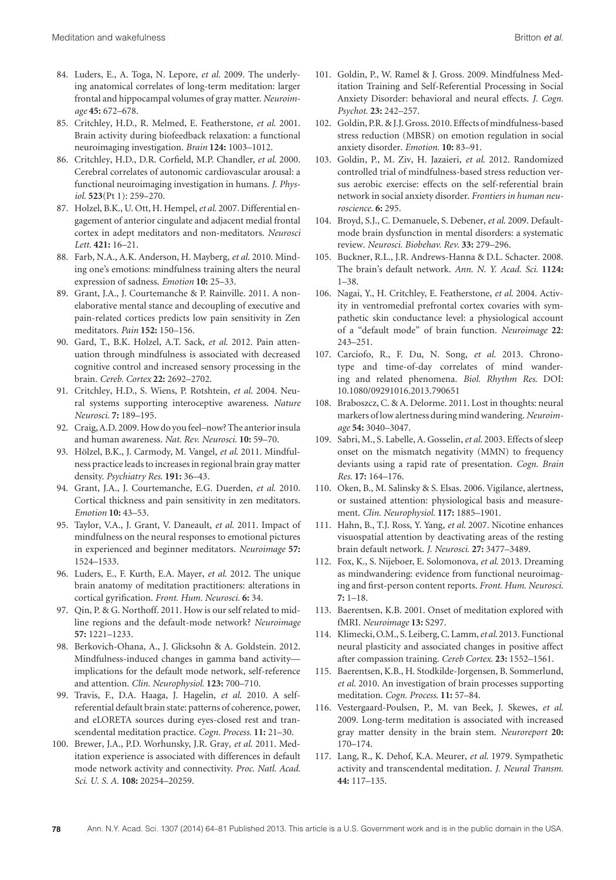- 84. Luders, E., A. Toga, N. Lepore, *et al*. 2009. The underlying anatomical correlates of long-term meditation: larger frontal and hippocampal volumes of gray matter. *Neuroimage* **45:** 672–678.
- 85. Critchley, H.D., R. Melmed, E. Featherstone, *et al*. 2001. Brain activity during biofeedback relaxation: a functional neuroimaging investigation. *Brain* **124:** 1003–1012.
- 86. Critchley, H.D., D.R. Corfield, M.P. Chandler, *et al*. 2000. Cerebral correlates of autonomic cardiovascular arousal: a functional neuroimaging investigation in humans. *J. Physiol.* **523**(Pt 1): 259–270.
- 87. Holzel, B.K., U. Ott, H. Hempel,*et al*. 2007. Differential engagement of anterior cingulate and adjacent medial frontal cortex in adept meditators and non-meditators. *Neurosci Lett.* **421:** 16–21.
- 88. Farb, N.A., A.K. Anderson, H. Mayberg, *et al*. 2010. Minding one's emotions: mindfulness training alters the neural expression of sadness. *Emotion* **10:** 25–33.
- 89. Grant, J.A., J. Courtemanche & P. Rainville. 2011. A nonelaborative mental stance and decoupling of executive and pain-related cortices predicts low pain sensitivity in Zen meditators. *Pain* **152:** 150–156.
- 90. Gard, T., B.K. Holzel, A.T. Sack, *et al*. 2012. Pain attenuation through mindfulness is associated with decreased cognitive control and increased sensory processing in the brain. *Cereb. Cortex* **22:** 2692–2702.
- 91. Critchley, H.D., S. Wiens, P. Rotshtein, *et al*. 2004. Neural systems supporting interoceptive awareness. *Nature Neurosci.* **7:** 189–195.
- 92. Craig, A.D. 2009. How do youfeel–now? The anterior insula and human awareness. *Nat. Rev. Neurosci.* **10:** 59–70.
- 93. Hölzel, B.K., J. Carmody, M. Vangel, et al. 2011. Mindfulness practice leads to increases in regional brain gray matter density. *Psychiatry Res.* **191:** 36–43.
- 94. Grant, J.A., J. Courtemanche, E.G. Duerden, *et al*. 2010. Cortical thickness and pain sensitivity in zen meditators. *Emotion* **10:** 43–53.
- 95. Taylor, V.A., J. Grant, V. Daneault, *et al*. 2011. Impact of mindfulness on the neural responses to emotional pictures in experienced and beginner meditators. *Neuroimage* **57:** 1524–1533.
- 96. Luders, E., F. Kurth, E.A. Mayer, *et al*. 2012. The unique brain anatomy of meditation practitioners: alterations in cortical gyrification. *Front. Hum. Neurosci.* **6:** 34.
- 97. Qin, P. & G. Northoff. 2011. How is our self related to midline regions and the default-mode network? *Neuroimage* **57:** 1221–1233.
- 98. Berkovich-Ohana, A., J. Glicksohn & A. Goldstein. 2012. Mindfulness-induced changes in gamma band activity implications for the default mode network, self-reference and attention. *Clin. Neurophysiol.* **123:** 700–710.
- 99. Travis, F., D.A. Haaga, J. Hagelin, *et al*. 2010. A selfreferential default brain state: patterns of coherence, power, and eLORETA sources during eyes-closed rest and transcendental meditation practice. *Cogn. Process.* **11:** 21–30.
- 100. Brewer, J.A., P.D. Worhunsky, J.R. Gray, *et al*. 2011. Meditation experience is associated with differences in default mode network activity and connectivity. *Proc. Natl. Acad. Sci. U. S. A.* **108:** 20254–20259.
- 101. Goldin, P., W. Ramel & J. Gross. 2009. Mindfulness Meditation Training and Self-Referential Processing in Social Anxiety Disorder: behavioral and neural effects. *J. Cogn. Psychot.* **23:** 242–257.
- 102. Goldin, P.R. & J.J. Gross. 2010. Effects of mindfulness-based stress reduction (MBSR) on emotion regulation in social anxiety disorder. *Emotion.* **10:** 83–91.
- 103. Goldin, P., M. Ziv, H. Jazaieri, *et al*. 2012. Randomized controlled trial of mindfulness-based stress reduction versus aerobic exercise: effects on the self-referential brain network in social anxiety disorder. *Frontiers in human neuroscience.* **6:** 295.
- 104. Broyd, S.J., C. Demanuele, S. Debener, *et al*. 2009. Defaultmode brain dysfunction in mental disorders: a systematic review. *Neurosci. Biobehav. Rev.* **33:** 279–296.
- 105. Buckner, R.L., J.R. Andrews-Hanna & D.L. Schacter. 2008. The brain's default network. *Ann. N. Y. Acad. Sci.* **1124:** 1–38.
- 106. Nagai, Y., H. Critchley, E. Featherstone, *et al*. 2004. Activity in ventromedial prefrontal cortex covaries with sympathetic skin conductance level: a physiological account of a "default mode" of brain function. *Neuroimage* **22**: 243–251.
- 107. Carciofo, R., F. Du, N. Song, *et al*. 2013. Chronotype and time-of-day correlates of mind wandering and related phenomena. *Biol. Rhythm Res*. DOI: 10.1080/09291016.2013.790651
- 108. Braboszcz, C. & A. Delorme. 2011. Lost in thoughts: neural markers of low alertness during mind wandering. *Neuroimage* **54:** 3040–3047.
- 109. Sabri, M., S. Labelle, A. Gosselin,*et al*. 2003. Effects of sleep onset on the mismatch negativity (MMN) to frequency deviants using a rapid rate of presentation. *Cogn. Brain Res.* **17:** 164–176.
- 110. Oken, B., M. Salinsky & S. Elsas. 2006. Vigilance, alertness, or sustained attention: physiological basis and measurement. *Clin. Neurophysiol.* **117:** 1885–1901.
- 111. Hahn, B., T.J. Ross, Y. Yang, *et al*. 2007. Nicotine enhances visuospatial attention by deactivating areas of the resting brain default network. *J. Neurosci.* **27:** 3477–3489.
- 112. Fox, K., S. Nijeboer, E. Solomonova, *et al*. 2013. Dreaming as mindwandering: evidence from functional neuroimaging and first-person content reports. *Front. Hum. Neurosci.* **7:** 1–18.
- 113. Baerentsen, K.B. 2001. Onset of meditation explored with fMRI. *Neuroimage* **13:** S297.
- 114. Klimecki, O.M., S. Leiberg, C. Lamm,*et al*. 2013. Functional neural plasticity and associated changes in positive affect after compassion training. *Cereb Cortex.* **23:** 1552–1561.
- 115. Baerentsen, K.B., H. Stodkilde-Jorgensen, B. Sommerlund, *et al*. 2010. An investigation of brain processes supporting meditation. *Cogn. Process*. **11:** 57–84.
- 116. Vestergaard-Poulsen, P., M. van Beek, J. Skewes, *et al*. 2009. Long-term meditation is associated with increased gray matter density in the brain stem. *Neuroreport* **20:** 170–174.
- 117. Lang, R., K. Dehof, K.A. Meurer, *et al*. 1979. Sympathetic activity and transcendental meditation. *J. Neural Transm.* **44:** 117–135.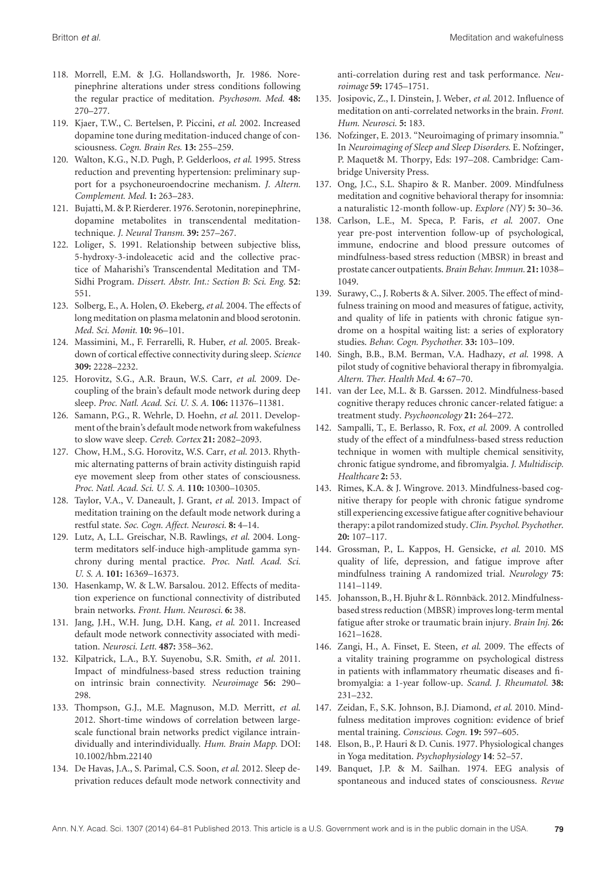- 118. Morrell, E.M. & J.G. Hollandsworth, Jr. 1986. Norepinephrine alterations under stress conditions following the regular practice of meditation. *Psychosom. Med.* **48:** 270–277.
- 119. Kjaer, T.W., C. Bertelsen, P. Piccini, *et al*. 2002. Increased dopamine tone during meditation-induced change of consciousness. *Cogn. Brain Res.* **13:** 255–259.
- 120. Walton, K.G., N.D. Pugh, P. Gelderloos, *et al*. 1995. Stress reduction and preventing hypertension: preliminary support for a psychoneuroendocrine mechanism. *J. Altern. Complement. Med.* **1:** 263–283.
- 121. Bujatti,M. & P. Rierderer. 1976. Serotonin, norepinephrine, dopamine metabolites in transcendental meditationtechnique. *J. Neural Transm.* **39:** 257–267.
- 122. Loliger, S. 1991. Relationship between subjective bliss, 5-hydroxy-3-indoleacetic acid and the collective practice of Maharishi's Transcendental Meditation and TM-Sidhi Program. *Dissert. Abstr. Int.: Section B: Sci. Eng.* **52**: 551.
- 123. Solberg, E., A. Holen, Ø. Ekeberg, *et al*. 2004. The effects of long meditation on plasma melatonin and blood serotonin. *Med. Sci. Monit.* **10:** 96–101.
- 124. Massimini, M., F. Ferrarelli, R. Huber, *et al*. 2005. Breakdown of cortical effective connectivity during sleep. *Science* **309:** 2228–2232.
- 125. Horovitz, S.G., A.R. Braun, W.S. Carr, *et al*. 2009. Decoupling of the brain's default mode network during deep sleep. *Proc. Natl. Acad. Sci. U. S. A.* **106:** 11376–11381.
- 126. Samann, P.G., R. Wehrle, D. Hoehn, *et al*. 2011. Development of the brain's default mode network from wakefulness to slow wave sleep. *Cereb. Cortex* **21:** 2082–2093.
- 127. Chow, H.M., S.G. Horovitz, W.S. Carr, *et al*. 2013. Rhythmic alternating patterns of brain activity distinguish rapid eye movement sleep from other states of consciousness. *Proc. Natl. Acad. Sci. U. S. A.* **110:** 10300–10305.
- 128. Taylor, V.A., V. Daneault, J. Grant, *et al*. 2013. Impact of meditation training on the default mode network during a restful state. *Soc. Cogn. Affect. Neurosci.* **8:** 4–14.
- 129. Lutz, A, L.L. Greischar, N.B. Rawlings, *et al*. 2004. Longterm meditators self-induce high-amplitude gamma synchrony during mental practice. *Proc. Natl. Acad. Sci. U. S. A.* **101:** 16369–16373.
- 130. Hasenkamp, W. & L.W. Barsalou. 2012. Effects of meditation experience on functional connectivity of distributed brain networks. *Front. Hum. Neurosci.* **6:** 38.
- 131. Jang, J.H., W.H. Jung, D.H. Kang, *et al*. 2011. Increased default mode network connectivity associated with meditation. *Neurosci. Lett.* **487:** 358–362.
- 132. Kilpatrick, L.A., B.Y. Suyenobu, S.R. Smith, *et al*. 2011. Impact of mindfulness-based stress reduction training on intrinsic brain connectivity. *Neuroimage* **56:** 290– 298.
- 133. Thompson, G.J., M.E. Magnuson, M.D. Merritt, *et al*. 2012. Short-time windows of correlation between largescale functional brain networks predict vigilance intraindividually and interindividually. *Hum. Brain Mapp.* DOI: 10.1002/hbm.22140
- 134. De Havas, J.A., S. Parimal, C.S. Soon, *et al*. 2012. Sleep deprivation reduces default mode network connectivity and

anti-correlation during rest and task performance. *Neuroimage* **59:** 1745–1751.

- 135. Josipovic, Z., I. Dinstein, J. Weber, *et al*. 2012. Influence of meditation on anti-correlated networks in the brain. *Front. Hum. Neurosci.* **5:** 183.
- 136. Nofzinger, E. 2013. "Neuroimaging of primary insomnia." In *Neuroimaging of Sleep and Sleep Disorders*. E. Nofzinger, P. Maquet& M. Thorpy, Eds: 197–208. Cambridge: Cambridge University Press.
- 137. Ong, J.C., S.L. Shapiro & R. Manber. 2009. Mindfulness meditation and cognitive behavioral therapy for insomnia: a naturalistic 12-month follow-up. *Explore (NY)* **5:** 30–36.
- 138. Carlson, L.E., M. Speca, P. Faris, *et al*. 2007. One year pre-post intervention follow-up of psychological, immune, endocrine and blood pressure outcomes of mindfulness-based stress reduction (MBSR) in breast and prostate cancer outpatients. *Brain Behav. Immun.* **21:** 1038– 1049.
- 139. Surawy, C., J. Roberts & A. Silver. 2005. The effect of mindfulness training on mood and measures of fatigue, activity, and quality of life in patients with chronic fatigue syndrome on a hospital waiting list: a series of exploratory studies. *Behav. Cogn. Psychother.* **33:** 103–109.
- 140. Singh, B.B., B.M. Berman, V.A. Hadhazy, *et al*. 1998. A pilot study of cognitive behavioral therapy in fibromyalgia. *Altern. Ther. Health Med.* **4:** 67–70.
- 141. van der Lee, M.L. & B. Garssen. 2012. Mindfulness-based cognitive therapy reduces chronic cancer-related fatigue: a treatment study. *Psychooncology* **21:** 264–272.
- 142. Sampalli, T., E. Berlasso, R. Fox, *et al*. 2009. A controlled study of the effect of a mindfulness-based stress reduction technique in women with multiple chemical sensitivity, chronic fatigue syndrome, and fibromyalgia. *J. Multidiscip. Healthcare* **2:** 53.
- 143. Rimes, K.A. & J. Wingrove. 2013. Mindfulness-based cognitive therapy for people with chronic fatigue syndrome still experiencing excessive fatigue after cognitive behaviour therapy: a pilot randomized study.*Clin. Psychol. Psychother*. **20:** 107–117.
- 144. Grossman, P., L. Kappos, H. Gensicke, *et al*. 2010. MS quality of life, depression, and fatigue improve after mindfulness training A randomized trial. *Neurology* **75**: 1141–1149.
- 145. Johansson, B., H. Bjuhr & L. Rönnbäck. 2012. Mindfulnessbased stress reduction (MBSR) improves long-term mental fatigue after stroke or traumatic brain injury. *Brain Inj.* **26:** 1621–1628.
- 146. Zangi, H., A. Finset, E. Steen, *et al*. 2009. The effects of a vitality training programme on psychological distress in patients with inflammatory rheumatic diseases and fibromyalgia: a 1-year follow-up. *Scand. J. Rheumatol.* **38:** 231–232.
- 147. Zeidan, F., S.K. Johnson, B.J. Diamond, *et al*. 2010. Mindfulness meditation improves cognition: evidence of brief mental training. *Conscious. Cogn.* **19:** 597–605.
- 148. Elson, B., P. Hauri & D. Cunis. 1977. Physiological changes in Yoga meditation. *Psychophysiology* **14**: 52–57.
- 149. Banquet, J.P. & M. Sailhan. 1974. EEG analysis of spontaneous and induced states of consciousness. *Revue*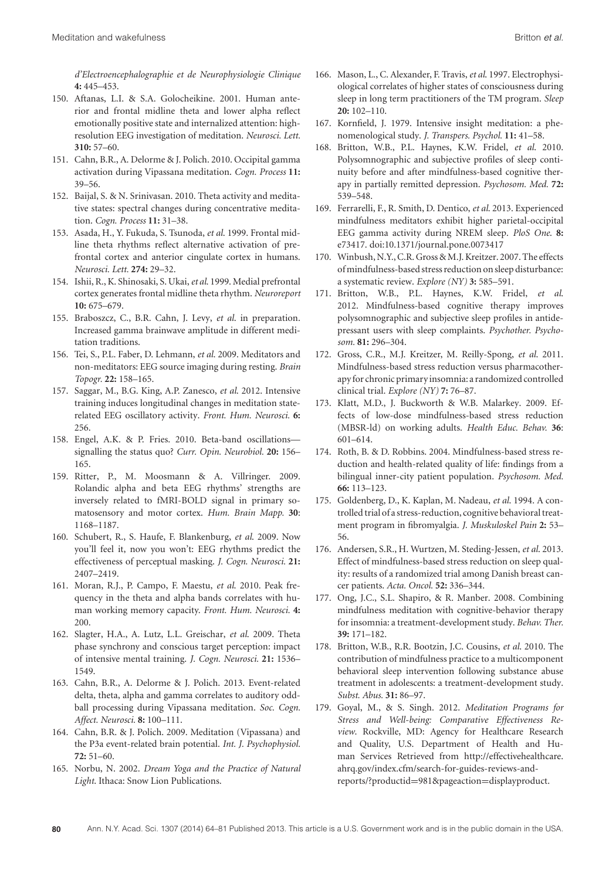*d'Electroencephalographie et de Neurophysiologie Clinique* **4:** 445–453.

- 150. Aftanas, L.I. & S.A. Golocheikine. 2001. Human anterior and frontal midline theta and lower alpha reflect emotionally positive state and internalized attention: highresolution EEG investigation of meditation. *Neurosci. Lett.* **310:** 57–60.
- 151. Cahn, B.R., A. Delorme & J. Polich. 2010. Occipital gamma activation during Vipassana meditation. *Cogn. Process* **11:** 39–56.
- 152. Baijal, S. & N. Srinivasan. 2010. Theta activity and meditative states: spectral changes during concentrative meditation. *Cogn. Process* **11:** 31–38.
- 153. Asada, H., Y. Fukuda, S. Tsunoda, *et al*. 1999. Frontal midline theta rhythms reflect alternative activation of prefrontal cortex and anterior cingulate cortex in humans. *Neurosci. Lett.* **274:** 29–32.
- 154. Ishii, R., K. Shinosaki, S. Ukai,*et al*. 1999. Medial prefrontal cortex generates frontal midline theta rhythm. *Neuroreport* **10:** 675–679.
- 155. Braboszcz, C., B.R. Cahn, J. Levy, *et al*. in preparation. Increased gamma brainwave amplitude in different meditation traditions.
- 156. Tei, S., P.L. Faber, D. Lehmann, *et al*. 2009. Meditators and non-meditators: EEG source imaging during resting. *Brain Topogr.* **22:** 158–165.
- 157. Saggar, M., B.G. King, A.P. Zanesco, *et al*. 2012. Intensive training induces longitudinal changes in meditation staterelated EEG oscillatory activity. *Front. Hum. Neurosci.* **6:** 256.
- 158. Engel, A.K. & P. Fries. 2010. Beta-band oscillations signalling the status quo? *Curr. Opin. Neurobiol.* **20:** 156– 165.
- 159. Ritter, P., M. Moosmann & A. Villringer. 2009. Rolandic alpha and beta EEG rhythms' strengths are inversely related to fMRI-BOLD signal in primary somatosensory and motor cortex. *Hum. Brain Mapp.* **30**: 1168–1187.
- 160. Schubert, R., S. Haufe, F. Blankenburg, *et al*. 2009. Now you'll feel it, now you won't: EEG rhythms predict the effectiveness of perceptual masking. *J. Cogn. Neurosci.* **21:** 2407–2419.
- 161. Moran, R.J., P. Campo, F. Maestu, *et al*. 2010. Peak frequency in the theta and alpha bands correlates with human working memory capacity. *Front. Hum. Neurosci.* **4:** 200.
- 162. Slagter, H.A., A. Lutz, L.L. Greischar, *et al*. 2009. Theta phase synchrony and conscious target perception: impact of intensive mental training. *J. Cogn. Neurosci.* **21:** 1536– 1549.
- 163. Cahn, B.R., A. Delorme & J. Polich. 2013. Event-related delta, theta, alpha and gamma correlates to auditory oddball processing during Vipassana meditation. *Soc. Cogn. Affect. Neurosci.* **8:** 100–111.
- 164. Cahn, B.R. & J. Polich. 2009. Meditation (Vipassana) and the P3a event-related brain potential. *Int. J. Psychophysiol.* **72:** 51–60.
- 165. Norbu, N. 2002. *Dream Yoga and the Practice of Natural Light*. Ithaca: Snow Lion Publications.
- 166. Mason, L., C. Alexander, F. Travis,*et al*. 1997. Electrophysiological correlates of higher states of consciousness during sleep in long term practitioners of the TM program. *Sleep* **20:** 102–110.
- 167. Kornfield, J. 1979. Intensive insight meditation: a phenomenological study. *J. Transpers. Psychol.* **11:** 41–58.
- 168. Britton, W.B., P.L. Haynes, K.W. Fridel, *et al*. 2010. Polysomnographic and subjective profiles of sleep continuity before and after mindfulness-based cognitive therapy in partially remitted depression. *Psychosom. Med.* **72:** 539–548.
- 169. Ferrarelli, F., R. Smith, D. Dentico, *et al*. 2013. Experienced mindfulness meditators exhibit higher parietal-occipital EEG gamma activity during NREM sleep. *PloS One*. **8:** e73417. doi:10.1371/journal.pone.0073417
- 170. Winbush, N.Y., C.R. Gross & M.J. Kreitzer. 2007. The effects ofmindfulness-based stress reduction on sleep disturbance: a systematic review. *Explore (NY)* **3:** 585–591.
- 171. Britton, W.B., P.L. Haynes, K.W. Fridel, *et al*. 2012. Mindfulness-based cognitive therapy improves polysomnographic and subjective sleep profiles in antidepressant users with sleep complaints. *Psychother. Psychosom.* **81:** 296–304.
- 172. Gross, C.R., M.J. Kreitzer, M. Reilly-Spong, *et al*. 2011. Mindfulness-based stress reduction versus pharmacotherapyfor chronic primary insomnia: a randomized controlled clinical trial. *Explore (NY)* **7:** 76–87.
- 173. Klatt, M.D., J. Buckworth & W.B. Malarkey. 2009. Effects of low-dose mindfulness-based stress reduction (MBSR-ld) on working adults. *Health Educ. Behav.* **36**: 601–614.
- 174. Roth, B. & D. Robbins. 2004. Mindfulness-based stress reduction and health-related quality of life: findings from a bilingual inner-city patient population. *Psychosom. Med.* **66:** 113–123.
- 175. Goldenberg, D., K. Kaplan, M. Nadeau, *et al*. 1994. A controlled trial of a stress-reduction, cognitive behavioral treatment program in fibromyalgia. *J. Muskuloskel Pain* **2:** 53– 56.
- 176. Andersen, S.R., H. Wurtzen, M. Steding-Jessen, *et al*. 2013. Effect of mindfulness-based stress reduction on sleep quality: results of a randomized trial among Danish breast cancer patients. *Acta. Oncol.* **52:** 336–344.
- 177. Ong, J.C., S.L. Shapiro, & R. Manber. 2008. Combining mindfulness meditation with cognitive-behavior therapy for insomnia: a treatment-development study. *Behav. Ther.* **39:** 171–182.
- 178. Britton, W.B., R.R. Bootzin, J.C. Cousins, *et al*. 2010. The contribution of mindfulness practice to a multicomponent behavioral sleep intervention following substance abuse treatment in adolescents: a treatment-development study. *Subst. Abus.* **31:** 86–97.
- 179. Goyal, M., & S. Singh. 2012. *Meditation Programs for Stress and Well-being: Comparative Effectiveness Review*. Rockville, MD: Agency for Healthcare Research and Quality, U.S. Department of Health and Human Services Retrieved from http://effectivehealthcare. ahrq.gov/index.cfm/search-for-guides-reviews-andreports/?productid=981&pageaction=displayproduct.